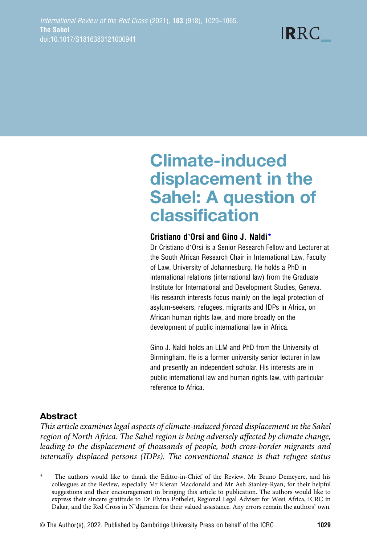**IRRC** 

# Climate-induced displacement in the Sahel: A question of classification

#### Cristiano d'Orsi and Gino J. Naldi\*

Dr Cristiano d'Orsi is a Senior Research Fellow and Lecturer at the South African Research Chair in International Law, Faculty of Law, University of Johannesburg. He holds a PhD in international relations (international law) from the Graduate Institute for International and Development Studies, Geneva. His research interests focus mainly on the legal protection of asylum-seekers, refugees, migrants and IDPs in Africa, on African human rights law, and more broadly on the development of public international law in Africa.

Gino J. Naldi holds an LLM and PhD from the University of Birmingham. He is a former university senior lecturer in law and presently an independent scholar. His interests are in public international law and human rights law, with particular reference to Africa.

# Abstract

This article examines legal aspects of climate-induced forced displacement in the Sahel region of North Africa. The Sahel region is being adversely affected by climate change, leading to the displacement of thousands of people, both cross-border migrants and internally displaced persons (IDPs). The conventional stance is that refugee status

<sup>\*</sup> The authors would like to thank the Editor-in-Chief of the Review, Mr Bruno Demeyere, and his colleagues at the Review, especially Mr Kieran Macdonald and Mr Ash Stanley-Ryan, for their helpful suggestions and their encouragement in bringing this article to publication. The authors would like to express their sincere gratitude to Dr Elvina Pothelet, Regional Legal Adviser for West Africa, ICRC in Dakar, and the Red Cross in N'djamena for their valued assistance. Any errors remain the authors' own.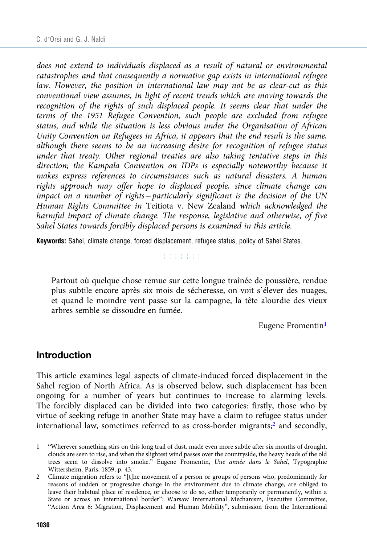does not extend to individuals displaced as a result of natural or environmental catastrophes and that consequently a normative gap exists in international refugee law. However, the position in international law may not be as clear-cut as this conventional view assumes, in light of recent trends which are moving towards the recognition of the rights of such displaced people. It seems clear that under the terms of the 1951 Refugee Convention, such people are excluded from refugee status, and while the situation is less obvious under the Organisation of African Unity Convention on Refugees in Africa, it appears that the end result is the same, although there seems to be an increasing desire for recognition of refugee status under that treaty. Other regional treaties are also taking tentative steps in this direction; the Kampala Convention on IDPs is especially noteworthy because it makes express references to circumstances such as natural disasters. A human rights approach may offer hope to displaced people, since climate change can impact on a number of rights – particularly significant is the decision of the UN Human Rights Committee in Teitiota v. New Zealand which acknowledged the harmful impact of climate change. The response, legislative and otherwise, of five Sahel States towards forcibly displaced persons is examined in this article.

Keywords: Sahel, climate change, forced displacement, refugee status, policy of Sahel States.

nn na hAn

Partout où quelque chose remue sur cette longue traînée de poussière, rendue plus subtile encore après six mois de sécheresse, on voit s'élever des nuages, et quand le moindre vent passe sur la campagne, la tête alourdie des vieux arbres semble se dissoudre en fumée.

Eugene Fromentin<sup>1</sup>

#### Introduction

This article examines legal aspects of climate-induced forced displacement in the Sahel region of North Africa. As is observed below, such displacement has been ongoing for a number of years but continues to increase to alarming levels. The forcibly displaced can be divided into two categories: firstly, those who by virtue of seeking refuge in another State may have a claim to refugee status under international law, sometimes referred to as cross-border migrants; $^2$  and secondly,

<sup>1</sup> "Wherever something stirs on this long trail of dust, made even more subtle after six months of drought, clouds are seen to rise, and when the slightest wind passes over the countryside, the heavy heads of the old trees seem to dissolve into smoke." Eugene Fromentin, Une année dans le Sahel, Typographie Wittersheim, Paris, 1859, p. 43.

<sup>2</sup> Climate migration refers to "[t]he movement of a person or groups of persons who, predominantly for reasons of sudden or progressive change in the environment due to climate change, are obliged to leave their habitual place of residence, or choose to do so, either temporarily or permanently, within a State or across an international border": Warsaw International Mechanism, Executive Committee, "Action Area 6: Migration, Displacement and Human Mobility", submission from the International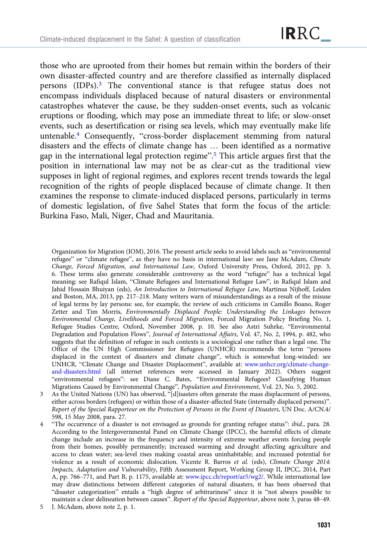those who are uprooted from their homes but remain within the borders of their own disaster-affected country and are therefore classified as internally displaced persons (IDPs).<sup>3</sup> The conventional stance is that refugee status does not encompass individuals displaced because of natural disasters or environmental catastrophes whatever the cause, be they sudden-onset events, such as volcanic eruptions or flooding, which may pose an immediate threat to life; or slow-onset events, such as desertification or rising sea levels, which may eventually make life untenable.4 Consequently, "cross-border displacement stemming from natural disasters and the effects of climate change has … been identified as a normative gap in the international legal protection regime". <sup>5</sup> This article argues first that the position in international law may not be as clear-cut as the traditional view supposes in light of regional regimes, and explores recent trends towards the legal recognition of the rights of people displaced because of climate change. It then examines the response to climate-induced displaced persons, particularly in terms of domestic legislation, of five Sahel States that form the focus of the article: Burkina Faso, Mali, Niger, Chad and Mauritania.

Organization for Migration (IOM), 2016. The present article seeks to avoid labels such as "environmental refugee" or "climate refugee", as they have no basis in international law: see Jane McAdam, Climate Change, Forced Migration, and International Law, Oxford University Press, Oxford, 2012, pp. 3, 6. These terms also generate considerable controversy as the word "refugee" has a technical legal meaning: see Rafiqul Islam, "Climate Refugees and International Refugee Law", in Rafiqul Islam and Jahid Hossain Bhuiyan (eds), An Introduction to International Refugee Law, Martinus Nijhoff, Leiden and Boston, MA, 2013, pp. 217–218. Many writers warn of misunderstandings as a result of the misuse of legal terms by lay persons: see, for example, the review of such criticisms in Camillo Boano, Roger Zetter and Tim Morris, Environmentally Displaced People: Understanding the Linkages between Environmental Change, Livelihoods and Forced Migration, Forced Migration Policy Briefing No. 1, Refugee Studies Centre, Oxford, November 2008, p. 10. See also Astri Suhrke, "Environmental Degradation and Population Flows", Journal of International Affairs, Vol. 47, No. 2, 1994, p. 482, who suggests that the definition of refugee in such contexts is a sociological one rather than a legal one. The Office of the UN High Commissioner for Refugees (UNHCR) recommends the term "persons displaced in the context of disasters and climate change", which is somewhat long-winded: see UNHCR, "Climate Change and Disaster Displacement", available at: [www.unhcr.org/climate-change](https://www.unhcr.org/climate-change-and-disasters.html)[and-disasters.html](https://www.unhcr.org/climate-change-and-disasters.html) (all internet references were accessed in January 2022). Others suggest "environmental refugees": see Diane C. Bates, "Environmental Refugees? Classifying Human Migrations Caused by Environmental Change", Population and Environment, Vol. 23, No. 5, 2002.

- 3 As the United Nations (UN) has observed, "[d]isasters often generate the mass displacement of persons, either across borders (refugees) or within those of a disaster-affected State (internally displaced persons)". Report of the Special Rapporteur on the Protection of Persons in the Event of Disasters, UN Doc. A/CN.4/ 598, 15 May 2008, para. 27.
- 4 "The occurrence of a disaster is not envisaged as grounds for granting refugee status": ibid., para. 28. According to the Intergovernmental Panel on Climate Change (IPCC), the harmful effects of climate change include an increase in the frequency and intensity of extreme weather events forcing people from their homes, possibly permanently; increased warming and drought affecting agriculture and access to clean water; sea-level rises making coastal areas uninhabitable; and increased potential for violence as a result of economic dislocation. Vicente R. Barros et al. (eds), Climate Change 2014: Impacts, Adaptation and Vulnerability, Fifth Assessment Report, Working Group II, IPCC, 2014, Part A, pp. 766–771, and Part B, p. 1175, available at: [www.ipcc.ch/report/ar5/wg2/](https://www.ipcc.ch/report/ar5/wg2/). While international law may draw distinctions between different categories of natural disasters, it has been observed that "disaster categorization" entails a "high degree of arbitrariness" since it is "not always possible to maintain a clear delineation between causes". Report of the Special Rapporteur, above note 3, paras 48–49.

5 J. McAdam, above note 2, p. 1.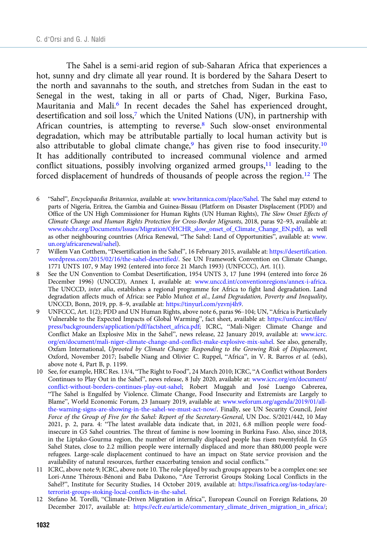The Sahel is a semi-arid region of sub-Saharan Africa that experiences a hot, sunny and dry climate all year round. It is bordered by the Sahara Desert to the north and savannahs to the south, and stretches from Sudan in the east to Senegal in the west, taking in all or parts of Chad, Niger, Burkina Faso, Mauritania and Mali.<sup>6</sup> In recent decades the Sahel has experienced drought, desertification and soil loss,<sup>7</sup> which the United Nations (UN), in partnership with African countries, is attempting to reverse.<sup>8</sup> Such slow-onset environmental degradation, which may be attributable partially to local human activity but is also attributable to global climate change,<sup>9</sup> has given rise to food insecurity.<sup>10</sup> It has additionally contributed to increased communal violence and armed conflict situations, possibly involving organized armed groups, $11$  leading to the forced displacement of hundreds of thousands of people across the region.<sup>12</sup> The

- 6 "Sahel", Encyclopaedia Britannica, available at: [www.britannica.com/place/Sahel](https://www.britannica.com/place/Sahel). The Sahel may extend to parts of Nigeria, Eritrea, the Gambia and Guinea-Bissau (Platform on Disaster Displacement (PDD) and Office of the UN High Commissioner for Human Rights (UN Human Rights), The Slow Onset Effects of Climate Change and Human Rights Protection for Cross-Border Migrants, 2018, paras 92–93, available at: [www.ohchr.org/Documents/Issues/Migration/OHCHR\\_slow\\_onset\\_of\\_Climate\\_Change\\_EN.pdf](https://www.ohchr.org/Documents/Issues/Migration/OHCHR_slow_onset_of_Climate_Change_EN.pdf)), as well as other neighbouring countries (Africa Renewal, "The Sahel: Land of Opportunities", available at: [www.](https://www.un.org/africarenewal/sahel) [un.org/africarenewal/sahel\)](https://www.un.org/africarenewal/sahel).
- 7 Willem Van Cotthem, "Desertification in the Sahel", 16 February 2015, available at: [https://desertification.](https://desertification.wordpress.com/2015/02/16/the-sahel-desertified/) [wordpress.com/2015/02/16/the-sahel-desertified/.](https://desertification.wordpress.com/2015/02/16/the-sahel-desertified/) See UN Framework Convention on Climate Change, 1771 UNTS 107, 9 May 1992 (entered into force 21 March 1993) (UNFCCC), Art. 1(1).
- 8 See the UN Convention to Combat Desertification, 1954 UNTS 3, 17 June 1994 (entered into force 26 December 1996) (UNCCD), Annex I, available at: [www.unccd.int/conventionregions/annex-i-africa.](https://www.unccd.int/conventionregions/annex-i-africa) The UNCCD, inter alia, establishes a regional programme for Africa to fight land degradation. Land degradation affects much of Africa: see Pablo Muñoz et al., Land Degradation, Poverty and Inequality, UNCCD, Bonn, 2019, pp. 8–9, available at: <https://tinyurl.com/yzvnj4h9>.
- UNFCCC, Art. 1(2); PDD and UN Human Rights, above note 6, paras 96–104; UN, "Africa is Particularly Vulnerable to the Expected Impacts of Global Warming", fact sheet, available at: [https://unfccc.int/files/](https://unfccc.int/files/press/backgrounders/application/pdf/factsheet_africa.pdf) [press/backgrounders/application/pdf/factsheet\\_africa.pdf;](https://unfccc.int/files/press/backgrounders/application/pdf/factsheet_africa.pdf) ICRC, "Mali-Niger: Climate Change and Conflict Make an Explosive Mix in the Sahel", news release, 22 January 2019, available at: [www.icrc.](https://www.icrc.org/en/document/mali-niger-climate-change-and-conflict-make-explosive-mix-sahel) [org/en/document/mali-niger-climate-change-and-conflict-make-explosive-mix-sahel](https://www.icrc.org/en/document/mali-niger-climate-change-and-conflict-make-explosive-mix-sahel). See also, generally, Oxfam International, Uprooted by Climate Change: Responding to the Growing Risk of Displacement, Oxford, November 2017; Isabelle Niang and Olivier C. Ruppel, "Africa", in V. R. Barros et al. (eds), above note 4, Part B, p. 1199.
- 10 See, for example, HRC Res. 13/4, "The Right to Food", 24 March 2010; ICRC, "A Conflict without Borders Continues to Play Out in the Sahel", news release, 8 July 2020, available at: [www.icrc.org/en/document/](https://www.icrc.org/en/document/conflict-without-borders-continues-play-out-sahel) [conflict-without-borders-continues-play-out-sahel;](https://www.icrc.org/en/document/conflict-without-borders-continues-play-out-sahel) Robert Muggah and José Luengo Cabrerea, "The Sahel is Engulfed by Violence. Climate Change, Food Insecurity and Extremists are Largely to Blame", World Economic Forum, 23 January 2019, available at: [www.weforum.org/agenda/2019/01/all](https://www.weforum.org/agenda/2019/01/all-the-warning-signs-are-showing-in-the-sahel-we-must-act-now/)[the-warning-signs-are-showing-in-the-sahel-we-must-act-now/](https://www.weforum.org/agenda/2019/01/all-the-warning-signs-are-showing-in-the-sahel-we-must-act-now/). Finally, see UN Security Council, Joint Force of the Group of Five for the Sahel: Report of the Secretary-General, UN Doc. S/2021/442, 10 May 2021, p. 2, para. 4: "The latest available data indicate that, in 2021, 6.8 million people were foodinsecure in G5 Sahel countries. The threat of famine is now looming in Burkina Faso. Also, since 2018, in the Liptako-Gourma region, the number of internally displaced people has risen twentyfold. In G5 Sahel States, close to 2.2 million people were internally displaced and more than 880,000 people were refugees. Large-scale displacement continued to have an impact on State service provision and the availability of natural resources, further exacerbating tension and social conflicts."
- 11 ICRC, above note 9; ICRC, above note 10. The role played by such groups appears to be a complex one: see Lori-Anne Théroux-Bénoni and Baba Dakono, "Are Terrorist Groups Stoking Local Conflicts in the Sahel?", Institute for Security Studies, 14 October 2019, available at: [https://issafrica.org/iss-today/are](https://issafrica.org/iss-today/are-terrorist-groups-stoking-local-conflicts-in-the-sahel)[terrorist-groups-stoking-local-conflicts-in-the-sahel.](https://issafrica.org/iss-today/are-terrorist-groups-stoking-local-conflicts-in-the-sahel)
- 12 Stefano M. Torelli, "Climate-Driven Migration in Africa", European Council on Foreign Relations, 20 December 2017, available at: [https://ecfr.eu/article/commentary\\_climate\\_driven\\_migration\\_in\\_africa/;](https://ecfr.eu/article/commentary_climate_driven_migration_in_africa/)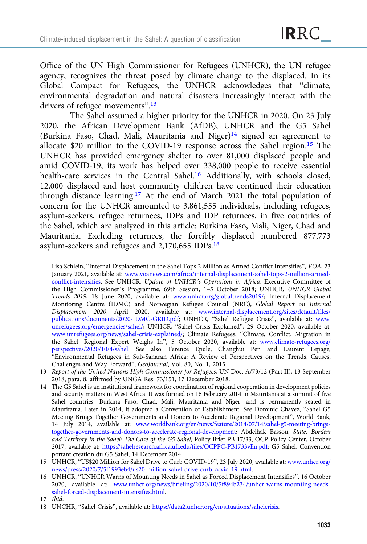Office of the UN High Commissioner for Refugees (UNHCR), the UN refugee agency, recognizes the threat posed by climate change to the displaced. In its Global Compact for Refugees, the UNHCR acknowledges that "climate, environmental degradation and natural disasters increasingly interact with the drivers of refugee movements".<sup>13</sup>

The Sahel assumed a higher priority for the UNHCR in 2020. On 23 July 2020, the African Development Bank (AfDB), UNHCR and the G5 Sahel (Burkina Faso, Chad, Mali, Mauritania and Niger) $14$  signed an agreement to allocate \$20 million to the COVID-19 response across the Sahel region.15 The UNHCR has provided emergency shelter to over 81,000 displaced people and amid COVID-19, its work has helped over 338,000 people to receive essential health-care services in the Central Sahel.16 Additionally, with schools closed, 12,000 displaced and host community children have continued their education through distance learning.17 At the end of March 2021 the total population of concern for the UNHCR amounted to 3,861,555 individuals, including refugees, asylum-seekers, refugee returnees, IDPs and IDP returnees, in five countries of the Sahel, which are analyzed in this article: Burkina Faso, Mali, Niger, Chad and Mauritania. Excluding returnees, the forcibly displaced numbered 877,773 asylum-seekers and refugees and 2,170,655 IDPs.18

Lisa Schlein, "Internal Displacement in the Sahel Tops 2 Million as Armed Conflict Intensifies", VOA, 23 January 2021, available at: [www.voanews.com/africa/internal-displacement-sahel-tops-2-million-armed](https://www.voanews.com/africa/internal-displacement-sahel-tops-2-million-armed-conflict-intensifies)[conflict-intensifies.](https://www.voanews.com/africa/internal-displacement-sahel-tops-2-million-armed-conflict-intensifies) See UNHCR, Update of UNHCR's Operations in Africa, Executive Committee of the High Commissioner's Programme, 69th Session, 1–5 October 2018; UNHCR, UNHCR Global Trends 2019, 18 June 2020, available at: [www.unhcr.org/globaltrends2019/;](https://www.unhcr.org/globaltrends2019/) Internal Displacement Monitoring Centre (IDMC) and Norwegian Refugee Council (NRC), Global Report on Internal Displacement 2020, April 2020, available at: [www.internal-displacement.org/sites/default/files/](https://www.internal-displacement.org/sites/default/files/publications/documents/2020-IDMC-GRID.pdf) [publications/documents/2020-IDMC-GRID.pdf](https://www.internal-displacement.org/sites/default/files/publications/documents/2020-IDMC-GRID.pdf); UNHCR, "Sahel Refugee Crisis", available at: [www.](https://www.unrefugees.org/emergencies/sahel/) [unrefugees.org/emergencies/sahel/](https://www.unrefugees.org/emergencies/sahel/); UNHCR, "Sahel Crisis Explained", 29 October 2020, available at: [www.unrefugees.org/news/sahel-crisis-explained/;](https://www.unrefugees.org/news/sahel-crisis-explained/) Climate Refugees, "Climate, Conflict, Migration in the Sahel-Regional Expert Weighs In", 5 October 2020, available at: [www.climate-refugees.org/](https://www.climate-refugees.org/perspectives/2020/10/4/sahel) [perspectives/2020/10/4/sahel](https://www.climate-refugees.org/perspectives/2020/10/4/sahel). See also Terence Epule, Changhui Pen and Laurent Lepage, "Environmental Refugees in Sub-Saharan Africa: A Review of Perspectives on the Trends, Causes, Challenges and Way Forward", GeoJournal, Vol. 80, No. 1, 2015.

- 13 Report of the United Nations High Commissioner for Refugees, UN Doc. A/73/12 (Part II), 13 September 2018, para. 8, affirmed by UNGA Res. 73/151, 17 December 2018.
- 14 The G5 Sahel is an institutional framework for coordination of regional cooperation in development policies and security matters in West Africa. It was formed on 16 February 2014 in Mauritania at a summit of five Sahel countries – Burkina Faso, Chad, Mali, Mauritania and Niger – and is permanently seated in Mauritania. Later in 2014, it adopted a Convention of Establishment. See Dominic Chavez, "Sahel G5 Meeting Brings Together Governments and Donors to Accelerate Regional Development", World Bank, 14 July 2014, available at: [www.worldbank.org/en/news/feature/2014/07/14/sahel-g5-meeting-brings](https://www.worldbank.org/en/news/feature/2014/07/14/sahel-g5-meeting-brings-together-governments-and-donors-to-accelerate-regional-development)[together-governments-and-donors-to-accelerate-regional-development](https://www.worldbank.org/en/news/feature/2014/07/14/sahel-g5-meeting-brings-together-governments-and-donors-to-accelerate-regional-development); Abdelhak Bassou, State, Borders and Territory in the Sahel: The Case of the G5 Sahel, Policy Brief PB-17/33, OCP Policy Center, October 2017, available at: <https://sahelresearch.africa.ufl.edu/files/OCPPC-PB1733vEn.pdf>; G5 Sahel, Convention portant creation du G5 Sahel, 14 December 2014.
- 15 UNHCR, "US\$20 Million for Sahel Drive to Curb COVID-19", 23 July 2020, available at: [www.unhcr.org/](https://www.unhcr.org/news/press/2020/7/5f1993eb4/us20-million-sahel-drive-curb-covid-19.html) [news/press/2020/7/5f1993eb4/us20-million-sahel-drive-curb-covid-19.html](https://www.unhcr.org/news/press/2020/7/5f1993eb4/us20-million-sahel-drive-curb-covid-19.html).
- 16 UNHCR, "UNHCR Warns of Mounting Needs in Sahel as Forced Displacement Intensifies", 16 October 2020, available at: [www.unhcr.org/news/briefing/2020/10/5f894b234/unhcr-warns-mounting-needs](https://www.unhcr.org/news/briefing/2020/10/5f894b234/unhcr-warns-mounting-needs-sahel-forced-displacement-intensifies.html)[sahel-forced-displacement-intensifies.html](https://www.unhcr.org/news/briefing/2020/10/5f894b234/unhcr-warns-mounting-needs-sahel-forced-displacement-intensifies.html).
- 17 Ibid.
- 18 UNCHR, "Sahel Crisis", available at: <https://data2.unhcr.org/en/situations/sahelcrisis>.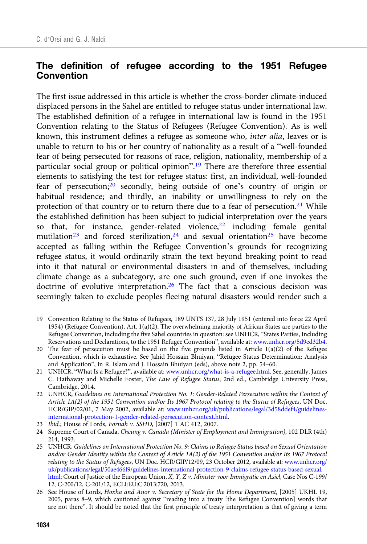### The definition of refugee according to the 1951 Refugee **Convention**

The first issue addressed in this article is whether the cross-border climate-induced displaced persons in the Sahel are entitled to refugee status under international law. The established definition of a refugee in international law is found in the 1951 Convention relating to the Status of Refugees (Refugee Convention). As is well known, this instrument defines a refugee as someone who, inter alia, leaves or is unable to return to his or her country of nationality as a result of a "well-founded fear of being persecuted for reasons of race, religion, nationality, membership of a particular social group or political opinion".<sup>19</sup> There are therefore three essential elements to satisfying the test for refugee status: first, an individual, well-founded fear of persecution;<sup>20</sup> secondly, being outside of one's country of origin or habitual residence; and thirdly, an inability or unwillingness to rely on the protection of that country or to return there due to a fear of persecution.<sup>21</sup> While the established definition has been subject to judicial interpretation over the years so that, for instance, gender-related violence, $22$  including female genital mutilation<sup>23</sup> and forced sterilization,<sup>24</sup> and sexual orientation<sup>25</sup> have become accepted as falling within the Refugee Convention's grounds for recognizing refugee status, it would ordinarily strain the text beyond breaking point to read into it that natural or environmental disasters in and of themselves, including climate change as a subcategory, are one such ground, even if one invokes the doctrine of evolutive interpretation.<sup>26</sup> The fact that a conscious decision was seemingly taken to exclude peoples fleeing natural disasters would render such a

- 19 Convention Relating to the Status of Refugees, 189 UNTS 137, 28 July 1951 (entered into force 22 April 1954) (Refugee Convention), Art. 1(a)(2). The overwhelming majority of African States are parties to the Refugee Convention, including the five Sahel countries in question: see UNHCR, "States Parties, Including Reservations and Declarations, to the 1951 Refugee Convention", available at: [www.unhcr.org/5d9ed32b4.](https://www.unhcr.org/5d9ed32b4)
- 20 The fear of persecution must be based on the five grounds listed in Article 1(a)(2) of the Refugee Convention, which is exhaustive. See Jahid Hossain Bhuiyan, "Refugee Status Determination: Analysis and Application", in R. Islam and J. Hossain Bhuiyan (eds), above note 2, pp. 54–60.
- 21 UNHCR, "What Is a Refugee?", available at: [www.unhcr.org/what-is-a-refugee.html.](https://www.unhcr.org/what-is-a-refugee.html) See, generally, James C. Hathaway and Michelle Foster, The Law of Refugee Status, 2nd ed., Cambridge University Press, Cambridge, 2014.
- 22 UNHCR, Guidelines on International Protection No. 1: Gender-Related Persecution within the Context of Article 1A(2) of the 1951 Convention and/or Its 1967 Protocol relating to the Status of Refugees, UN Doc. HCR/GIP/02/01, 7 May 2002, available at: [www.unhcr.org/uk/publications/legal/3d58ddef4/guidelines](https://www.unhcr.org/uk/publications/legal/3d58ddef4/guidelines-international-protection-1-gender-related-persecution-context.html)[international-protection-1-gender-related-persecution-context.html.](https://www.unhcr.org/uk/publications/legal/3d58ddef4/guidelines-international-protection-1-gender-related-persecution-context.html)
- 23 Ibid.; House of Lords, Fornah v. SSHD, [2007] 1 AC 412, 2007.
- 24 Supreme Court of Canada, Cheung v. Canada (Minister of Employment and Immigration), 102 DLR (4th) 214, 1993.
- 25 UNHCR, Guidelines on International Protection No. 9: Claims to Refugee Status based on Sexual Orientation and/or Gender Identity within the Context of Article 1A(2) of the 1951 Convention and/or Its 1967 Protocol relating to the Status of Refugees, UN Doc. HCR/GIP/12/09, 23 October 2012, available at: [www.unhcr.org/](https://www.unhcr.org/uk/publications/legal/50ae466f9/guidelines-international-protection-9-claims-refugee-status-based-sexual.html) [uk/publications/legal/50ae466f9/guidelines-international-protection-9-claims-refugee-status-based-sexual.](https://www.unhcr.org/uk/publications/legal/50ae466f9/guidelines-international-protection-9-claims-refugee-status-based-sexual.html) [html](https://www.unhcr.org/uk/publications/legal/50ae466f9/guidelines-international-protection-9-claims-refugee-status-based-sexual.html); Court of Justice of the European Union, X, Y, Z v. Minister voor Immigratie en Asiel, Case Nos C-199/ 12, C-200/12, C-201/12, ECLI:EU:C:2013:720, 2013.
- 26 See House of Lords, Hoxha and Anor v. Secretary of State for the Home Department, [2005] UKHL 19, 2005, paras 8–9, which cautioned against "reading into a treaty [the Refugee Convention] words that are not there". It should be noted that the first principle of treaty interpretation is that of giving a term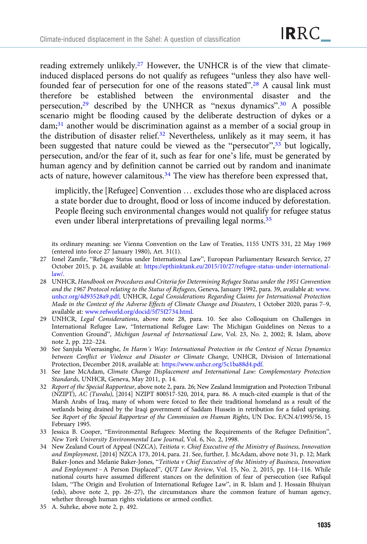reading extremely unlikely.<sup>27</sup> However, the UNHCR is of the view that climateinduced displaced persons do not qualify as refugees "unless they also have wellfounded fear of persecution for one of the reasons stated".<sup>28</sup> A causal link must therefore be established between the environmental disaster and the persecution,<sup>29</sup> described by the UNHCR as "nexus dynamics".<sup>30</sup> A possible scenario might be flooding caused by the deliberate destruction of dykes or a dam;31 another would be discrimination against as a member of a social group in the distribution of disaster relief.<sup>32</sup> Nevertheless, unlikely as it may seem, it has been suggested that nature could be viewed as the "persecutor",<sup>33</sup> but logically, persecution, and/or the fear of it, such as fear for one's life, must be generated by human agency and by definition cannot be carried out by random and inanimate acts of nature, however calamitous.<sup>34</sup> The view has therefore been expressed that,

implicitly, the [Refugee] Convention … excludes those who are displaced across a state border due to drought, flood or loss of income induced by deforestation. People fleeing such environmental changes would not qualify for refugee status even under liberal interpretations of prevailing legal norms.<sup>35</sup>

its ordinary meaning: see Vienna Convention on the Law of Treaties, 1155 UNTS 331, 22 May 1969 (entered into force 27 January 1980), Art. 31(1).

- 27 Ionel Zamfir, "Refugee Status under International Law", European Parliamentary Research Service, 27 October 2015, p. 24, available at: [https://epthinktank.eu/2015/10/27/refugee-status-under-international](https://epthinktank.eu/2015/10/27/refugee-status-under-international-law/)[law/](https://epthinktank.eu/2015/10/27/refugee-status-under-international-law/).
- 28 UNHCR, Handbook on Procedures and Criteria for Determining Refugee Status under the 1951 Convention and the 1967 Protocol relating to the Status of Refugees, Geneva, January 1992, para. 39, available at: [www.](https://www.unhcr.org/4d93528a9.pdf) [unhcr.org/4d93528a9.pdf](https://www.unhcr.org/4d93528a9.pdf); UNHCR, Legal Considerations Regarding Claims for International Protection Made in the Context of the Adverse Effects of Climate Change and Disasters, 1 October 2020, paras 7–9, available at: [www.refworld.org/docid/5f75f2734.html](https://www.refworld.org/docid/5f75f2734.html).
- 29 UNHCR, Legal Considerations, above note 28, para. 10. See also Colloquium on Challenges in International Refugee Law, "International Refugee Law: The Michigan Guidelines on Nexus to a Convention Ground", Michigan Journal of International Law, Vol. 23, No. 2, 2002; R. Islam, above note 2, pp. 222–224.
- 30 See Sanjula Weerasinghe, In Harm's Way: International Protection in the Context of Nexus Dynamics between Conflict or Violence and Disaster or Climate Change, UNHCR, Division of International Protection, December 2018, available at: [https://www.unhcr.org/5c1ba88d4.pdf.](https://www.unhcr.org/5c1ba88d4.pdf)
- 31 See Jane McAdam, Climate Change Displacement and International Law: Complementary Protection Standards, UNHCR, Geneva, May 2011, p. 14.
- 32 Report of the Special Rapporteur, above note 2, para. 26; New Zealand Immigration and Protection Tribunal (NZIPT), AC (Tuvalu), [2014] NZIPT 800517-520, 2014, para. 86. A much-cited example is that of the Marsh Arabs of Iraq, many of whom were forced to flee their traditional homeland as a result of the wetlands being drained by the Iraqi government of Saddam Hussein in retribution for a failed uprising. See Report of the Special Rapporteur of the Commission on Human Rights, UN Doc. E/CN.4/1995/56, 15 February 1995.
- 33 Jessica B. Cooper, "Environmental Refugees: Meeting the Requirements of the Refugee Definition", New York University Environmental Law Journal, Vol. 6, No. 2, 1998.
- 34 New Zealand Court of Appeal (NZCA), Teitiota v. Chief Executive of the Ministry of Business, Innovation and Employment, [2014] NZCA 173, 2014, para. 21. See, further, J. McAdam, above note 31, p. 12; Mark Baker-Jones and Melanie Baker-Jones, "Teitiota v Chief Executive of the Ministry of Business, Innovation and Employment – A Person Displaced", QUT Law Review, Vol. 15, No. 2, 2015, pp. 114–116. While national courts have assumed different stances on the definition of fear of persecution (see Rafiqul Islam, "The Origin and Evolution of International Refugee Law", in R. Islam and J. Hossain Bhuiyan (eds), above note 2, pp. 26–27), the circumstances share the common feature of human agency, whether through human rights violations or armed conflict.
- 35 A. Suhrke, above note 2, p. 492.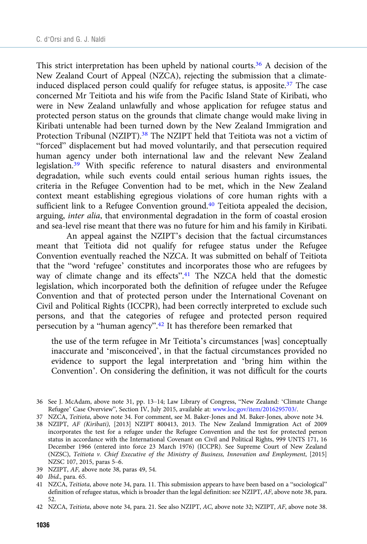This strict interpretation has been upheld by national courts.<sup>36</sup> A decision of the New Zealand Court of Appeal (NZCA), rejecting the submission that a climateinduced displaced person could qualify for refugee status, is apposite.<sup>37</sup> The case concerned Mr Teitiota and his wife from the Pacific Island State of Kiribati, who were in New Zealand unlawfully and whose application for refugee status and protected person status on the grounds that climate change would make living in Kiribati untenable had been turned down by the New Zealand Immigration and Protection Tribunal (NZIPT).<sup>38</sup> The NZIPT held that Teitiota was not a victim of "forced" displacement but had moved voluntarily, and that persecution required human agency under both international law and the relevant New Zealand legislation.<sup>39</sup> With specific reference to natural disasters and environmental degradation, while such events could entail serious human rights issues, the criteria in the Refugee Convention had to be met, which in the New Zealand context meant establishing egregious violations of core human rights with a sufficient link to a Refugee Convention ground.<sup>40</sup> Teitiota appealed the decision, arguing, inter alia, that environmental degradation in the form of coastal erosion and sea-level rise meant that there was no future for him and his family in Kiribati.

An appeal against the NZIPT's decision that the factual circumstances meant that Teitiota did not qualify for refugee status under the Refugee Convention eventually reached the NZCA. It was submitted on behalf of Teitiota that the "word 'refugee' constitutes and incorporates those who are refugees by way of climate change and its effects".<sup>41</sup> The NZCA held that the domestic legislation, which incorporated both the definition of refugee under the Refugee Convention and that of protected person under the International Covenant on Civil and Political Rights (ICCPR), had been correctly interpreted to exclude such persons, and that the categories of refugee and protected person required persecution by a "human agency".<sup>42</sup> It has therefore been remarked that

the use of the term refugee in Mr Teitiota's circumstances [was] conceptually inaccurate and 'misconceived', in that the factual circumstances provided no evidence to support the legal interpretation and 'bring him within the Convention'. On considering the definition, it was not difficult for the courts

38 NZIPT, AF (Kiribati), [2013] NZIPT 800413, 2013. The New Zealand Immigration Act of 2009 incorporates the test for a refugee under the Refugee Convention and the test for protected person status in accordance with the International Covenant on Civil and Political Rights, 999 UNTS 171, 16 December 1966 (entered into force 23 March 1976) (ICCPR). See Supreme Court of New Zealand (NZSC), Teitiota v. Chief Executive of the Ministry of Business, Innovation and Employment, [2015] NZSC 107, 2015, paras 5–6.

- 39 NZIPT, AF, above note 38, paras 49, 54.
- 40 Ibid., para. 65.

41 NZCA, Teitiota, above note 34, para. 11. This submission appears to have been based on a "sociological" definition of refugee status, which is broader than the legal definition: see NZIPT, AF, above note 38, para. 52.

42 NZCA, Teitiota, above note 34, para. 21. See also NZIPT, AC, above note 32; NZIPT, AF, above note 38.

<sup>36</sup> See J. McAdam, above note 31, pp. 13–14; Law Library of Congress, "New Zealand: 'Climate Change Refugee' Case Overview", Section IV, July 2015, available at: [www.loc.gov/item/2016295703/](https://www.loc.gov/item/2016295703/).

<sup>37</sup> NZCA, Teitiota, above note 34. For comment, see M. Baker-Jones and M. Baker-Jones, above note 34.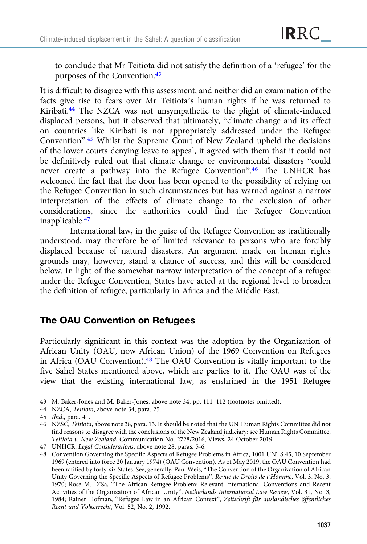to conclude that Mr Teitiota did not satisfy the definition of a 'refugee' for the purposes of the Convention.43

It is difficult to disagree with this assessment, and neither did an examination of the facts give rise to fears over Mr Teitiota's human rights if he was returned to Kiribati.44 The NZCA was not unsympathetic to the plight of climate-induced displaced persons, but it observed that ultimately, "climate change and its effect on countries like Kiribati is not appropriately addressed under the Refugee Convention". <sup>45</sup> Whilst the Supreme Court of New Zealand upheld the decisions of the lower courts denying leave to appeal, it agreed with them that it could not be definitively ruled out that climate change or environmental disasters "could never create a pathway into the Refugee Convention". <sup>46</sup> The UNHCR has welcomed the fact that the door has been opened to the possibility of relying on the Refugee Convention in such circumstances but has warned against a narrow interpretation of the effects of climate change to the exclusion of other considerations, since the authorities could find the Refugee Convention inapplicable.<sup>47</sup>

International law, in the guise of the Refugee Convention as traditionally understood, may therefore be of limited relevance to persons who are forcibly displaced because of natural disasters. An argument made on human rights grounds may, however, stand a chance of success, and this will be considered below. In light of the somewhat narrow interpretation of the concept of a refugee under the Refugee Convention, States have acted at the regional level to broaden the definition of refugee, particularly in Africa and the Middle East.

# The OAU Convention on Refugees

Particularly significant in this context was the adoption by the Organization of African Unity (OAU, now African Union) of the 1969 Convention on Refugees in Africa (OAU Convention).48 The OAU Convention is vitally important to the five Sahel States mentioned above, which are parties to it. The OAU was of the view that the existing international law, as enshrined in the 1951 Refugee

43 M. Baker-Jones and M. Baker-Jones, above note 34, pp. 111–112 (footnotes omitted).

44 NZCA, Teitiota, above note 34, para. 25.

<sup>45</sup> Ibid., para. 41.

<sup>46</sup> NZSC, Teitiota, above note 38, para. 13. It should be noted that the UN Human Rights Committee did not find reasons to disagree with the conclusions of the New Zealand judiciary: see Human Rights Committee, Teitiota v. New Zealand, Communication No. 2728/2016, Views, 24 October 2019.

<sup>47</sup> UNHCR, Legal Considerations, above note 28, paras. 5-6.

<sup>48</sup> Convention Governing the Specific Aspects of Refugee Problems in Africa, 1001 UNTS 45, 10 September 1969 (entered into force 20 January 1974) (OAU Convention). As of May 2019, the OAU Convention had been ratified by forty-six States. See, generally, Paul Weis, "The Convention of the Organization of African Unity Governing the Specific Aspects of Refugee Problems", Revue de Droits de l'Homme, Vol. 3, No. 3, 1970; Rose M. D'Sa, "The African Refugee Problem: Relevant International Conventions and Recent Activities of the Organization of African Unity", Netherlands International Law Review, Vol. 31, No. 3, 1984; Rainer Hofman, "Refugee Law in an African Context", Zeitschrift für auslandisches öffentliches Recht und Volkerrecht, Vol. 52, No. 2, 1992.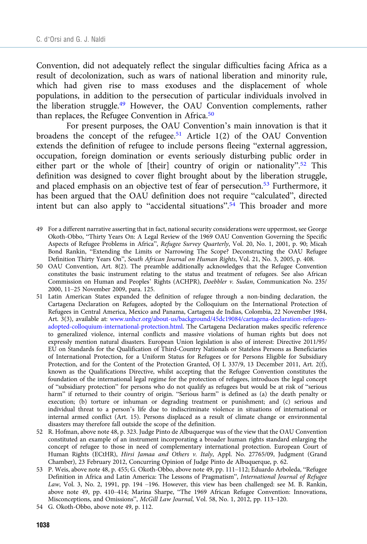Convention, did not adequately reflect the singular difficulties facing Africa as a result of decolonization, such as wars of national liberation and minority rule, which had given rise to mass exoduses and the displacement of whole populations, in addition to the persecution of particular individuals involved in the liberation struggle.49 However, the OAU Convention complements, rather than replaces, the Refugee Convention in Africa.<sup>50</sup>

For present purposes, the OAU Convention's main innovation is that it broadens the concept of the refugee.<sup>51</sup> Article 1(2) of the OAU Convention extends the definition of refugee to include persons fleeing "external aggression, occupation, foreign domination or events seriously disturbing public order in either part or the whole of [their] country of origin or nationality".<sup>52</sup> This definition was designed to cover flight brought about by the liberation struggle, and placed emphasis on an objective test of fear of persecution.53 Furthermore, it has been argued that the OAU definition does not require "calculated", directed intent but can also apply to "accidental situations".<sup>54</sup> This broader and more

- 49 For a different narrative asserting that in fact, national security considerations were uppermost, see George Okoth-Obbo, "Thirty Years On: A Legal Review of the 1969 OAU Convention Governing the Specific Aspects of Refugee Problems in Africa", Refugee Survey Quarterly, Vol. 20, No. 1, 2001, p. 90; Micah Bond Rankin, "Extending the Limits or Narrowing The Scope? Deconstructing the OAU Refugee Definition Thirty Years On", South African Journal on Human Rights, Vol. 21, No. 3, 2005, p. 408.
- 50 OAU Convention, Art. 8(2). The preamble additionally acknowledges that the Refugee Convention constitutes the basic instrument relating to the status and treatment of refugees. See also African Commission on Human and Peoples' Rights (ACHPR), Doebbler v. Sudan, Communication No. 235/ 2000, 11–25 November 2009, para. 125.
- 51 Latin American States expanded the definition of refugee through a non-binding declaration, the Cartagena Declaration on Refugees, adopted by the Colloquium on the International Protection of Refugees in Central America, Mexico and Panama, Cartagena de Indias, Colombia, 22 November 1984, Art. 3(3), available at: [www.unhcr.org/about-us/background/45dc19084/cartagena-declaration-refugees](https://www.unhcr.org/about-us/background/45dc19084/cartagena-declaration-refugees-adopted-colloquium-international-protection.html)[adopted-colloquium-international-protection.html.](https://www.unhcr.org/about-us/background/45dc19084/cartagena-declaration-refugees-adopted-colloquium-international-protection.html) The Cartagena Declaration makes specific reference to generalized violence, internal conflicts and massive violations of human rights but does not expressly mention natural disasters. European Union legislation is also of interest: Directive 2011/95/ EU on Standards for the Qualification of Third-Country Nationals or Stateless Persons as Beneficiaries of International Protection, for a Uniform Status for Refugees or for Persons Eligible for Subsidiary Protection, and for the Content of the Protection Granted, OJ L 337/9, 13 December 2011, Art. 2(f), known as the Qualifications Directive, whilst accepting that the Refugee Convention constitutes the foundation of the international legal regime for the protection of refugees, introduces the legal concept of "subsidiary protection" for persons who do not qualify as refugees but would be at risk of "serious harm" if returned to their country of origin. "Serious harm" is defined as (a) the death penalty or execution; (b) torture or inhuman or degrading treatment or punishment; and (c) serious and individual threat to a person's life due to indiscriminate violence in situations of international or internal armed conflict (Art. 15). Persons displaced as a result of climate change or environmental disasters may therefore fall outside the scope of the definition.
- 52 R. Hofman, above note 48, p. 323. Judge Pinto de Albuquerque was of the view that the OAU Convention constituted an example of an instrument incorporating a broader human rights standard enlarging the concept of refugee to those in need of complementary international protection. European Court of Human Rights (ECtHR), Hirsi Jamaa and Others v. Italy, Appl. No. 27765/09, Judgment (Grand Chamber), 23 February 2012, Concurring Opinion of Judge Pinto de Albuquerque, p. 62.
- 53 P. Weis, above note 48, p. 455; G. Okoth-Obbo, above note 49, pp. 111–112; Eduardo Arboleda, "Refugee Definition in Africa and Latin America: The Lessons of Pragmatism", International Journal of Refugee Law, Vol. 3, No. 2, 1991, pp. 194 –196. However, this view has been challenged: see M. B. Rankin, above note 49, pp. 410–414; Marina Sharpe, "The 1969 African Refugee Convention: Innovations, Misconceptions, and Omissions", McGill Law Journal, Vol. 58, No. 1, 2012, pp. 113–120.
- 54 G. Okoth-Obbo, above note 49, p. 112.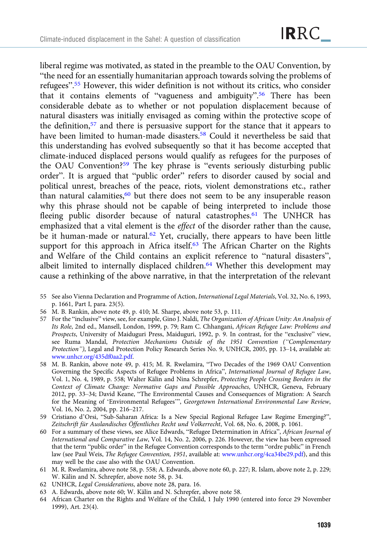liberal regime was motivated, as stated in the preamble to the OAU Convention, by "the need for an essentially humanitarian approach towards solving the problems of refugees".<sup>55</sup> However, this wider definition is not without its critics, who consider that it contains elements of "vagueness and ambiguity".<sup>56</sup> There has been considerable debate as to whether or not population displacement because of natural disasters was initially envisaged as coming within the protective scope of the definition,57 and there is persuasive support for the stance that it appears to have been limited to human-made disasters.<sup>58</sup> Could it nevertheless be said that this understanding has evolved subsequently so that it has become accepted that climate-induced displaced persons would qualify as refugees for the purposes of the OAU Convention?<sup>59</sup> The key phrase is "events seriously disturbing public order". It is argued that "public order" refers to disorder caused by social and political unrest, breaches of the peace, riots, violent demonstrations etc., rather than natural calamities, $60$  but there does not seem to be any insuperable reason why this phrase should not be capable of being interpreted to include those fleeing public disorder because of natural catastrophes.<sup>61</sup> The UNHCR has emphasized that a vital element is the effect of the disorder rather than the cause, be it human-made or natural.<sup>62</sup> Yet, crucially, there appears to have been little support for this approach in Africa itself.<sup>63</sup> The African Charter on the Rights and Welfare of the Child contains an explicit reference to "natural disasters", albeit limited to internally displaced children.<sup>64</sup> Whether this development may cause a rethinking of the above narrative, in that the interpretation of the relevant

- 55 See also Vienna Declaration and Programme of Action, International Legal Materials, Vol. 32, No. 6, 1993, p. 1661, Part I, para. 23(5).
- 56 M. B. Rankin, above note 49, p. 410; M. Sharpe, above note 53, p. 111.
- 57 For the "inclusive" view, see, for example, Gino J. Naldi, The Organization of African Unity: An Analysis of Its Role, 2nd ed., Mansell, London, 1999, p. 79; Ram C. Chhangani, African Refugee Law: Problems and Prospects, University of Maiduguri Press, Maiduguri, 1992, p. 9. In contrast, for the "exclusive" view, see Ruma Mandal, Protection Mechanisms Outside of the 1951 Convention ("Complementary Protection"), Legal and Protection Policy Research Series No. 9, UNHCR, 2005, pp. 13–14, available at: [www.unhcr.org/435df0aa2.pdf.](https://www.unhcr.org/435df0aa2.pdf)
- 58 M. B. Rankin, above note 49, p. 415; M. R. Rwelamira, "Two Decades of the 1969 OAU Convention Governing the Specific Aspects of Refugee Problems in Africa", International Journal of Refugee Law, Vol. 1, No. 4, 1989, p. 558; Walter Kälin and Nina Schrepfer, Protecting People Crossing Borders in the Context of Climate Change: Normative Gaps and Possible Approaches, UNHCR, Geneva, February 2012, pp. 33–34; David Keane, "The Environmental Causes and Consequences of Migration: A Search for the Meaning of 'Environmental Refugees'", Georgetown International Environmental Law Review, Vol. 16, No. 2, 2004, pp. 216–217.
- 59 Cristiano d'Orsi, "Sub-Saharan Africa: Is a New Special Regional Refugee Law Regime Emerging?", Zeitschrift für Auslandisches Öffentliches Recht und Volkerrecht, Vol. 68, No. 6, 2008, p. 1061.
- 60 For a summary of these views, see Alice Edwards, "Refugee Determination in Africa", African Journal of International and Comparative Law, Vol. 14, No. 2, 2006, p. 226. However, the view has been expressed that the term "public order" in the Refugee Convention corresponds to the term "ordre public" in French law (see Paul Weis, The Refugee Convention, 1951, available at: [www.unhcr.org/4ca34be29.pdf](https://www.unhcr.org/4ca34be29.pdf)), and this may well be the case also with the OAU Convention.
- 61 M. R. Rwelamira, above note 58, p. 558; A. Edwards, above note 60, p. 227; R. Islam, above note 2, p. 229; W. Kälin and N. Schrepfer, above note 58, p. 34.
- 62 UNHCR, Legal Considerations, above note 28, para. 16.
- 63 A. Edwards, above note 60; W. Kälin and N. Schrepfer, above note 58.
- 64 African Charter on the Rights and Welfare of the Child, 1 July 1990 (entered into force 29 November 1999), Art. 23(4).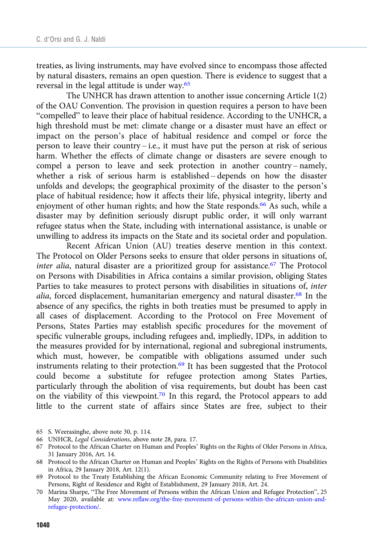treaties, as living instruments, may have evolved since to encompass those affected by natural disasters, remains an open question. There is evidence to suggest that a reversal in the legal attitude is under way.65

The UNHCR has drawn attention to another issue concerning Article 1(2) of the OAU Convention. The provision in question requires a person to have been "compelled" to leave their place of habitual residence. According to the UNHCR, a high threshold must be met: climate change or a disaster must have an effect or impact on the person's place of habitual residence and compel or force the person to leave their country – i.e., it must have put the person at risk of serious harm. Whether the effects of climate change or disasters are severe enough to compel a person to leave and seek protection in another country-namely, whether a risk of serious harm is established – depends on how the disaster unfolds and develops; the geographical proximity of the disaster to the person's place of habitual residence; how it affects their life, physical integrity, liberty and enjoyment of other human rights; and how the State responds.<sup>66</sup> As such, while a disaster may by definition seriously disrupt public order, it will only warrant refugee status when the State, including with international assistance, is unable or unwilling to address its impacts on the State and its societal order and population.

Recent African Union (AU) treaties deserve mention in this context. The Protocol on Older Persons seeks to ensure that older persons in situations of, inter alia, natural disaster are a prioritized group for assistance.<sup>67</sup> The Protocol on Persons with Disabilities in Africa contains a similar provision, obliging States Parties to take measures to protect persons with disabilities in situations of, inter alia, forced displacement, humanitarian emergency and natural disaster.68 In the absence of any specifics, the rights in both treaties must be presumed to apply in all cases of displacement. According to the Protocol on Free Movement of Persons, States Parties may establish specific procedures for the movement of specific vulnerable groups, including refugees and, impliedly, IDPs, in addition to the measures provided for by international, regional and subregional instruments, which must, however, be compatible with obligations assumed under such instruments relating to their protection.69 It has been suggested that the Protocol could become a substitute for refugee protection among States Parties, particularly through the abolition of visa requirements, but doubt has been cast on the viability of this viewpoint.<sup>70</sup> In this regard, the Protocol appears to add little to the current state of affairs since States are free, subject to their

- 65 S. Weerasinghe, above note 30, p. 114.
- 66 UNHCR, Legal Considerations, above note 28, para. 17.

70 Marina Sharpe, "The Free Movement of Persons within the African Union and Refugee Protection", 25 May 2020, available at: [www.reflaw.org/the-free-movement-of-persons-within-the-african-union-and](https://www.reflaw.org/the-free-movement-of-persons-within-the-african-union-and-refugee-protection/)[refugee-protection/.](https://www.reflaw.org/the-free-movement-of-persons-within-the-african-union-and-refugee-protection/)

<sup>67</sup> Protocol to the African Charter on Human and Peoples' Rights on the Rights of Older Persons in Africa, 31 January 2016, Art. 14.

<sup>68</sup> Protocol to the African Charter on Human and Peoples' Rights on the Rights of Persons with Disabilities in Africa, 29 January 2018, Art. 12(1).

<sup>69</sup> Protocol to the Treaty Establishing the African Economic Community relating to Free Movement of Persons, Right of Residence and Right of Establishment, 29 January 2018, Art. 24.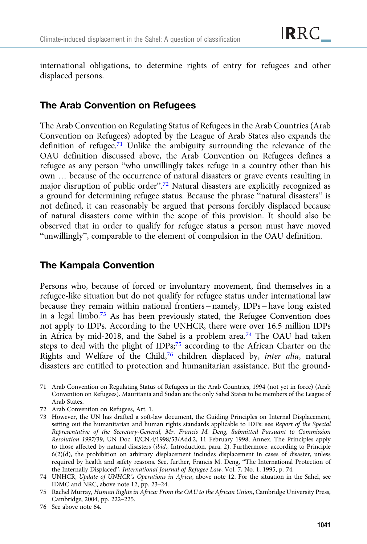international obligations, to determine rights of entry for refugees and other displaced persons.

## The Arab Convention on Refugees

The Arab Convention on Regulating Status of Refugees in the Arab Countries (Arab Convention on Refugees) adopted by the League of Arab States also expands the definition of refugee.71 Unlike the ambiguity surrounding the relevance of the OAU definition discussed above, the Arab Convention on Refugees defines a refugee as any person "who unwillingly takes refuge in a country other than his own … because of the occurrence of natural disasters or grave events resulting in major disruption of public order".<sup>72</sup> Natural disasters are explicitly recognized as a ground for determining refugee status. Because the phrase "natural disasters" is not defined, it can reasonably be argued that persons forcibly displaced because of natural disasters come within the scope of this provision. It should also be observed that in order to qualify for refugee status a person must have moved "unwillingly", comparable to the element of compulsion in the OAU definition.

# The Kampala Convention

Persons who, because of forced or involuntary movement, find themselves in a refugee-like situation but do not qualify for refugee status under international law because they remain within national frontiers – namely, IDPs – have long existed in a legal limbo.<sup>73</sup> As has been previously stated, the Refugee Convention does not apply to IDPs. According to the UNHCR, there were over 16.5 million IDPs in Africa by mid-2018, and the Sahel is a problem area.<sup>74</sup> The OAU had taken steps to deal with the plight of IDPs;<sup>75</sup> according to the African Charter on the Rights and Welfare of the Child,76 children displaced by, inter alia, natural disasters are entitled to protection and humanitarian assistance. But the ground-

71 Arab Convention on Regulating Status of Refugees in the Arab Countries, 1994 (not yet in force) (Arab Convention on Refugees). Mauritania and Sudan are the only Sahel States to be members of the League of Arab States.

- 72 Arab Convention on Refugees, Art. 1.
- 73 However, the UN has drafted a soft-law document, the Guiding Principles on Internal Displacement, setting out the humanitarian and human rights standards applicable to IDPs: see Report of the Special Representative of the Secretary-General, Mr. Francis M. Deng, Submitted Pursuant to Commission Resolution 1997/39, UN Doc. E/CN.4/1998/53/Add.2, 11 February 1998, Annex. The Principles apply to those affected by natural disasters (ibid., Introduction, para. 2). Furthermore, according to Principle 6(2)(d), the prohibition on arbitrary displacement includes displacement in cases of disaster, unless required by health and safety reasons. See, further, Francis M. Deng, "The International Protection of the Internally Displaced", International Journal of Refugee Law, Vol. 7, No. 1, 1995, p. 74.

76 See above note 64.

<sup>74</sup> UNHCR, Update of UNHCR's Operations in Africa, above note 12. For the situation in the Sahel, see IDMC and NRC, above note 12, pp. 23–24.

<sup>75</sup> Rachel Murray, Human Rights in Africa: From the OAU to the African Union, Cambridge University Press, Cambridge, 2004, pp. 222–225.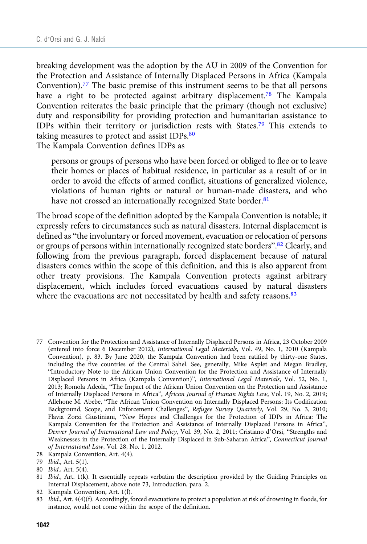breaking development was the adoption by the AU in 2009 of the Convention for the Protection and Assistance of Internally Displaced Persons in Africa (Kampala Convention).<sup>77</sup> The basic premise of this instrument seems to be that all persons have a right to be protected against arbitrary displacement.<sup>78</sup> The Kampala Convention reiterates the basic principle that the primary (though not exclusive) duty and responsibility for providing protection and humanitarian assistance to IDPs within their territory or jurisdiction rests with States.79 This extends to taking measures to protect and assist IDPs.<sup>80</sup>

The Kampala Convention defines IDPs as

persons or groups of persons who have been forced or obliged to flee or to leave their homes or places of habitual residence, in particular as a result of or in order to avoid the effects of armed conflict, situations of generalized violence, violations of human rights or natural or human-made disasters, and who have not crossed an internationally recognized State border.<sup>81</sup>

The broad scope of the definition adopted by the Kampala Convention is notable; it expressly refers to circumstances such as natural disasters. Internal displacement is defined as "the involuntary or forced movement, evacuation or relocation of persons or groups of persons within internationally recognized state borders".<sup>82</sup> Clearly, and following from the previous paragraph, forced displacement because of natural disasters comes within the scope of this definition, and this is also apparent from other treaty provisions. The Kampala Convention protects against arbitrary displacement, which includes forced evacuations caused by natural disasters where the evacuations are not necessitated by health and safety reasons.<sup>83</sup>

77 Convention for the Protection and Assistance of Internally Displaced Persons in Africa, 23 October 2009 (entered into force 6 December 2012), International Legal Materials, Vol. 49, No. 1, 2010 (Kampala Convention), p. 83. By June 2020, the Kampala Convention had been ratified by thirty-one States, including the five countries of the Central Sahel. See, generally, Mike Asplet and Megan Bradley, "Introductory Note to the African Union Convention for the Protection and Assistance of Internally Displaced Persons in Africa (Kampala Convention)", International Legal Materials, Vol. 52, No. 1, 2013; Romola Adeola, "The Impact of the African Union Convention on the Protection and Assistance of Internally Displaced Persons in Africa", African Journal of Human Rights Law, Vol. 19, No. 2, 2019; Allehone M. Abebe, "The African Union Convention on Internally Displaced Persons: Its Codification Background, Scope, and Enforcement Challenges", Refugee Survey Quarterly, Vol. 29, No. 3, 2010; Flavia Zorzi Giustiniani, "New Hopes and Challenges for the Protection of IDPs in Africa: The Kampala Convention for the Protection and Assistance of Internally Displaced Persons in Africa", Denver Journal of International Law and Policy, Vol. 39, No. 2, 2011; Cristiano d'Orsi, "Strengths and Weaknesses in the Protection of the Internally Displaced in Sub-Saharan Africa", Connecticut Journal of International Law, Vol. 28, No. 1, 2012.

- 78 Kampala Convention, Art. 4(4).
- 79 Ibid., Art. 5(1).
- 80 Ibid., Art. 5(4).

82 Kampala Convention, Art. 1(l).

<sup>81</sup> Ibid., Art. 1(k). It essentially repeats verbatim the description provided by the Guiding Principles on Internal Displacement, above note 73, Introduction, para. 2.

<sup>83</sup> Ibid., Art. 4(4)(f). Accordingly, forced evacuations to protect a population at risk of drowning in floods, for instance, would not come within the scope of the definition.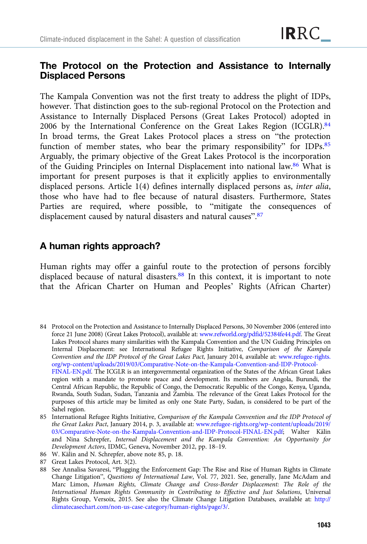# The Protocol on the Protection and Assistance to Internally Displaced Persons

The Kampala Convention was not the first treaty to address the plight of IDPs, however. That distinction goes to the sub-regional Protocol on the Protection and Assistance to Internally Displaced Persons (Great Lakes Protocol) adopted in 2006 by the International Conference on the Great Lakes Region (ICGLR).<sup>84</sup> In broad terms, the Great Lakes Protocol places a stress on "the protection function of member states, who bear the primary responsibility" for IDPs.<sup>85</sup> Arguably, the primary objective of the Great Lakes Protocol is the incorporation of the Guiding Principles on Internal Displacement into national law.86 What is important for present purposes is that it explicitly applies to environmentally displaced persons. Article 1(4) defines internally displaced persons as, inter alia, those who have had to flee because of natural disasters. Furthermore, States Parties are required, where possible, to "mitigate the consequences of displacement caused by natural disasters and natural causes".<sup>87</sup>

# A human rights approach?

Human rights may offer a gainful route to the protection of persons forcibly displaced because of natural disasters.<sup>88</sup> In this context, it is important to note that the African Charter on Human and Peoples' Rights (African Charter)

<sup>84</sup> Protocol on the Protection and Assistance to Internally Displaced Persons, 30 November 2006 (entered into force 21 June 2008) (Great Lakes Protocol), available at: [www.refworld.org/pdfid/52384fe44.pdf](https://www.refworld.org/pdfid/52384fe44.pdf). The Great Lakes Protocol shares many similarities with the Kampala Convention and the UN Guiding Principles on Internal Displacement: see International Refugee Rights Initiative, Comparison of the Kampala Convention and the IDP Protocol of the Great Lakes Pact, January 2014, available at: [www.refugee-rights.](http://www.refugee-rights.org/wp-content/uploads/2019/03/Comparative-Note-on-the-Kampala-Convention-and-IDP-Protocol-FINAL-EN.pdf) [org/wp-content/uploads/2019/03/Comparative-Note-on-the-Kampala-Convention-and-IDP-Protocol-](http://www.refugee-rights.org/wp-content/uploads/2019/03/Comparative-Note-on-the-Kampala-Convention-and-IDP-Protocol-FINAL-EN.pdf)[FINAL-EN.pdf.](http://www.refugee-rights.org/wp-content/uploads/2019/03/Comparative-Note-on-the-Kampala-Convention-and-IDP-Protocol-FINAL-EN.pdf) The ICGLR is an intergovernmental organization of the States of the African Great Lakes region with a mandate to promote peace and development. Its members are Angola, Burundi, the Central African Republic, the Republic of Congo, the Democratic Republic of the Congo, Kenya, Uganda, Rwanda, South Sudan, Sudan, Tanzania and Zambia. The relevance of the Great Lakes Protocol for the purposes of this article may be limited as only one State Party, Sudan, is considered to be part of the Sahel region.

<sup>85</sup> International Refugee Rights Initiative, Comparison of the Kampala Convention and the IDP Protocol of the Great Lakes Pact, January 2014, p. 3, available at: [www.refugee-rights.org/wp-content/uploads/2019/](http://www.refugee-rights.org/wp-content/uploads/2019/03/Comparative-Note-on-the-Kampala-Convention-and-IDP-Protocol-FINAL-EN.pdf) [03/Comparative-Note-on-the-Kampala-Convention-and-IDP-Protocol-FINAL-EN.pdf;](http://www.refugee-rights.org/wp-content/uploads/2019/03/Comparative-Note-on-the-Kampala-Convention-and-IDP-Protocol-FINAL-EN.pdf) Walter Kälin and Nina Schrepfer, Internal Displacement and the Kampala Convention: An Opportunity for Development Actors, IDMC, Geneva, November 2012, pp. 18–19.

<sup>86</sup> W. Kälin and N. Schrepfer, above note 85, p. 18.

<sup>87</sup> Great Lakes Protocol, Art. 3(2).

<sup>88</sup> See Annalisa Savaresi, "Plugging the Enforcement Gap: The Rise and Rise of Human Rights in Climate Change Litigation", Questions of International Law, Vol. 77, 2021. See, generally, Jane McAdam and Marc Limon, Human Rights, Climate Change and Cross-Border Displacement: The Role of the International Human Rights Community in Contributing to Effective and Just Solutions, Universal Rights Group, Versoix, 2015. See also the Climate Change Litigation Databases, available at: [http://](http://climatecasechart.com/non-us-case-category/human-rights/page/3/) [climatecasechart.com/non-us-case-category/human-rights/page/3/.](http://climatecasechart.com/non-us-case-category/human-rights/page/3/)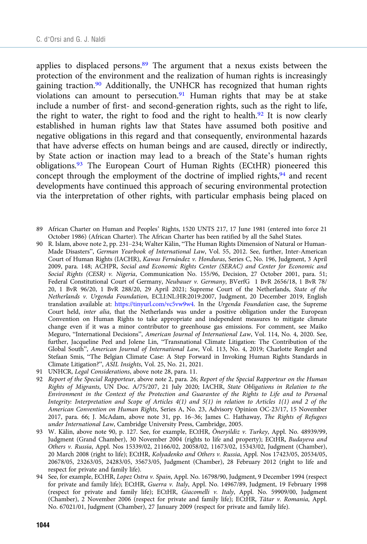applies to displaced persons. $89$  The argument that a nexus exists between the protection of the environment and the realization of human rights is increasingly gaining traction.<sup>90</sup> Additionally, the UNHCR has recognized that human rights violations can amount to persecution.<sup>91</sup> Human rights that may be at stake include a number of first- and second-generation rights, such as the right to life, the right to water, the right to food and the right to health.<sup>92</sup> It is now clearly established in human rights law that States have assumed both positive and negative obligations in this regard and that consequently, environmental hazards that have adverse effects on human beings and are caused, directly or indirectly, by State action or inaction may lead to a breach of the State's human rights obligations.<sup>93</sup> The European Court of Human Rights (ECtHR) pioneered this concept through the employment of the doctrine of implied rights,<sup>94</sup> and recent developments have continued this approach of securing environmental protection via the interpretation of other rights, with particular emphasis being placed on

- 89 African Charter on Human and Peoples' Rights, 1520 UNTS 217, 17 June 1981 (entered into force 21 October 1986) (African Charter). The African Charter has been ratified by all the Sahel States.
- 90 R. Islam, above note 2, pp. 231–234; Walter Kälin, "The Human Rights Dimension of Natural or Human-Made Disasters", German Yearbook of International Law, Vol. 55, 2012. See, further, Inter-American Court of Human Rights (IACHR), Kawas Fernández v. Honduras, Series C, No. 196, Judgment, 3 April 2009, para. 148; ACHPR, Social and Economic Rights Center (SERAC) and Center for Economic and Social Rights (CESR) v. Nigeria, Communication No. 155/96, Decision, 27 October 2001, para. 51; Federal Constitutional Court of Germany, Neubauer v. Germany, BVerfG 1 BvR 2656/18, 1 BvR 78/ 20, 1 BvR 96/20, 1 BvR 288/20, 29 April 2021; Supreme Court of the Netherlands, State of the Netherlands v. Urgenda Foundation, ECLI:NL:HR:2019:2007, Judgment, 20 December 2019, English translation available at: [https://tinyurl.com/vc5vw9w4.](https://tinyurl.com/vc5vw9w4) In the Urgenda Foundation case, the Supreme Court held, inter alia, that the Netherlands was under a positive obligation under the European Convention on Human Rights to take appropriate and independent measures to mitigate climate change even if it was a minor contributor to greenhouse gas emissions. For comment, see Maiko Meguro, "International Decisions", American Journal of International Law, Vol. 114, No. 4, 2020. See, further, Jacqueline Peel and Jolene Lin, "Transnational Climate Litigation: The Contribution of the Global South", American Journal of International Law, Vol. 113, No. 4, 2019; Charlotte Renglet and Stefaan Smis, "The Belgian Climate Case: A Step Forward in Invoking Human Rights Standards in Climate Litigation?", ASIL Insights, Vol. 25, No. 21, 2021.
- 91 UNHCR, Legal Considerations, above note 28, para. 11.
- 92 Report of the Special Rapporteur, above note 2, para. 26; Report of the Special Rapporteur on the Human Rights of Migrants, UN Doc. A/75/207, 21 July 2020; IACHR, State Obligations in Relation to the Environment in the Context of the Protection and Guarantee of the Rights to Life and to Personal Integrity: Interpretation and Scope of Articles 4(1) and 5(1) in relation to Articles 1(1) and 2 of the American Convention on Human Rights, Series A, No. 23, Advisory Opinion OC-23/17, 15 November 2017, para. 66; J. McAdam, above note 31, pp. 16–36; James C. Hathaway, The Rights of Refugees under International Law, Cambridge University Press, Cambridge, 2005.
- 93 W. Kälin, above note 90, p. 127. See, for example, ECtHR, Öneryildiz v. Turkey, Appl. No. 48939/99, Judgment (Grand Chamber), 30 November 2004 (rights to life and property); ECtHR, Budayeva and Others v. Russia, Appl. Nos 15339/02, 21166/02, 20058/02, 11673/02, 15343/02, Judgment (Chamber), 20 March 2008 (right to life); ECtHR, Kolyadenko and Others v. Russia, Appl. Nos 17423/05, 20534/05, 20678/05, 23263/05, 24283/05, 35673/05, Judgment (Chamber), 28 February 2012 (right to life and respect for private and family life).
- 94 See, for example, ECtHR, Lopez Ostra v. Spain, Appl. No. 16798/90, Judgment, 9 December 1994 (respect for private and family life); ECtHR, Guerra v. Italy, Appl. No. 14967/89, Judgment, 19 February 1998 (respect for private and family life); ECtHR, Giacomelli v. Italy, Appl. No. 59909/00, Judgment (Chamber), 2 November 2006 (respect for private and family life); ECtHR, Tătar v. Romania, Appl. No. 67021/01, Judgment (Chamber), 27 January 2009 (respect for private and family life).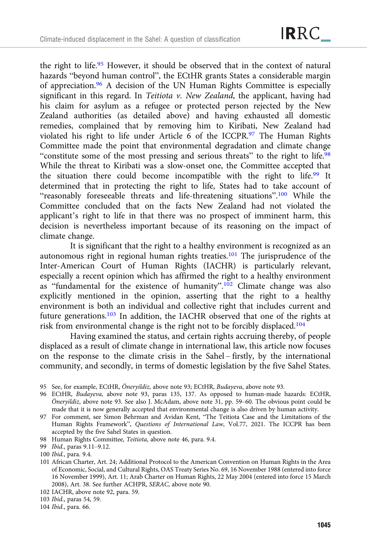the right to life.<sup>95</sup> However, it should be observed that in the context of natural hazards "beyond human control", the ECtHR grants States a considerable margin of appreciation.96 A decision of the UN Human Rights Committee is especially significant in this regard. In Teitiota  $\nu$ . New Zealand, the applicant, having had his claim for asylum as a refugee or protected person rejected by the New Zealand authorities (as detailed above) and having exhausted all domestic remedies, complained that by removing him to Kiribati, New Zealand had violated his right to life under Article 6 of the ICCPR.<sup>97</sup> The Human Rights Committee made the point that environmental degradation and climate change "constitute some of the most pressing and serious threats" to the right to life.<sup>98</sup> While the threat to Kiribati was a slow-onset one, the Committee accepted that the situation there could become incompatible with the right to life.99 It determined that in protecting the right to life, States had to take account of "reasonably foreseeable threats and life-threatening situations".<sup>100</sup> While the Committee concluded that on the facts New Zealand had not violated the applicant's right to life in that there was no prospect of imminent harm, this decision is nevertheless important because of its reasoning on the impact of climate change.

It is significant that the right to a healthy environment is recognized as an autonomous right in regional human rights treaties.101 The jurisprudence of the Inter-American Court of Human Rights (IACHR) is particularly relevant, especially a recent opinion which has affirmed the right to a healthy environment as "fundamental for the existence of humanity".<sup>102</sup> Climate change was also explicitly mentioned in the opinion, asserting that the right to a healthy environment is both an individual and collective right that includes current and future generations.103 In addition, the IACHR observed that one of the rights at risk from environmental change is the right not to be forcibly displaced.104

Having examined the status, and certain rights accruing thereby, of people displaced as a result of climate change in international law, this article now focuses on the response to the climate crisis in the Sahel – firstly, by the international community, and secondly, in terms of domestic legislation by the five Sahel States.

- 96 ECtHR, Budayeva, above note 93, paras 135, 137. As opposed to human-made hazards: ECtHR, Öneryildiz, above note 93. See also J. McAdam, above note 31, pp. 59–60. The obvious point could be made that it is now generally accepted that environmental change is also driven by human activity.
- 97 For comment, see Simon Behrman and Avidan Kent, "The Teitiota Case and the Limitations of the Human Rights Framework", Questions of International Law, Vol.77, 2021. The ICCPR has been accepted by the five Sahel States in question.
- 98 Human Rights Committee, Teitiota, above note 46, para. 9.4.

- 100 Ibid., para. 9.4.
- 101 African Charter, Art. 24; Additional Protocol to the American Convention on Human Rights in the Area of Economic, Social, and Cultural Rights, OAS Treaty Series No. 69, 16 November 1988 (entered into force 16 November 1999), Art. 11; Arab Charter on Human Rights, 22 May 2004 (entered into force 15 March 2008), Art. 38. See further ACHPR, SERAC, above note 90.
- 102 IACHR, above note 92, para. 59.

<sup>95</sup> See, for example, ECtHR, Öneryildiz, above note 93; ECtHR, Budayeva, above note 93.

<sup>99</sup> Ibid., paras 9.11–9.12.

<sup>103</sup> Ibid., paras 54, 59.

<sup>104</sup> Ibid., para. 66.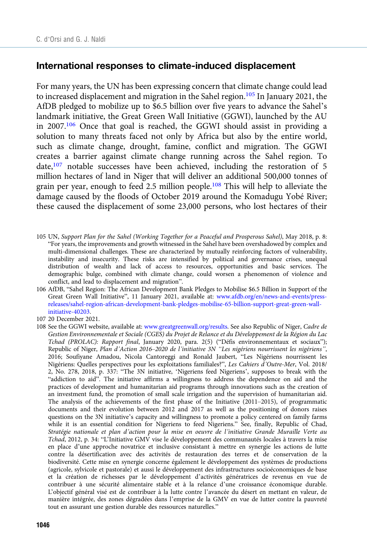#### International responses to climate-induced displacement

For many years, the UN has been expressing concern that climate change could lead to increased displacement and migration in the Sahel region.105 In January 2021, the AfDB pledged to mobilize up to \$6.5 billion over five years to advance the Sahel's landmark initiative, the Great Green Wall Initiative (GGWI), launched by the AU in 2007.106 Once that goal is reached, the GGWI should assist in providing a solution to many threats faced not only by Africa but also by the entire world, such as climate change, drought, famine, conflict and migration. The GGWI creates a barrier against climate change running across the Sahel region. To date,<sup>107</sup> notable successes have been achieved, including the restoration of 5 million hectares of land in Niger that will deliver an additional 500,000 tonnes of grain per year, enough to feed 2.5 million people.<sup>108</sup> This will help to alleviate the damage caused by the floods of October 2019 around the Komadugu Yobé River; these caused the displacement of some 23,000 persons, who lost hectares of their

- 105 UN, Support Plan for the Sahel (Working Together for a Peaceful and Prosperous Sahel), May 2018, p. 8: "For years, the improvements and growth witnessed in the Sahel have been overshadowed by complex and multi-dimensional challenges. These are characterized by mutually reinforcing factors of vulnerability, instability and insecurity. These risks are intensified by political and governance crises, unequal distribution of wealth and lack of access to resources, opportunities and basic services. The demographic bulge, combined with climate change, could worsen a phenomenon of violence and conflict, and lead to displacement and migration".
- 106 AfDB, "Sahel Region: The African Development Bank Pledges to Mobilise \$6.5 Billion in Support of the Great Green Wall Initiative", 11 January 2021, available at: [www.afdb.org/en/news-and-events/press](https://www.afdb.org/en/news-and-events/press-releases/sahel-region-african-development-bank-pledges-mobilise-65-billion-support-great-green-wall-initiative-40203)[releases/sahel-region-african-development-bank-pledges-mobilise-65-billion-support-great-green-wall](https://www.afdb.org/en/news-and-events/press-releases/sahel-region-african-development-bank-pledges-mobilise-65-billion-support-great-green-wall-initiative-40203)[initiative-40203](https://www.afdb.org/en/news-and-events/press-releases/sahel-region-african-development-bank-pledges-mobilise-65-billion-support-great-green-wall-initiative-40203).
- 107 20 December 2021.
- 108 See the GGWI website, available at: [www.greatgreenwall.org/results](https://www.greatgreenwall.org/results). See also Republic of Niger, Cadre de Gestion Environnementale et Sociale (CGES) du Projet de Relance et du Développement de la Région du Lac Tchad (PROLAC): Rapport final, January 2020, para. 2(5) ("Défis environnementaux et sociaux"); Republic of Niger, Plan d'Action 2016–2020 de l'initiative 3N "Les nigériens nourrissent les nigériens", 2016; Soufiyane Amadou, Nicola Cantoreggi and Ronald Jaubert, "Les Nigériens nourrissent les Nigériens: Quelles perspectives pour les exploitations familiales?", Les Cahiers d'Outre-Mer, Vol. 2018/ 2, No. 278, 2018, p. 337: "The 3N initiative, 'Nigeriens feed Nigeriens', supposes to break with the "addiction to aid". The initiative affirms a willingness to address the dependence on aid and the practices of development and humanitarian aid programs through innovations such as the creation of an investment fund, the promotion of small scale irrigation and the supervision of humanitarian aid. The analysis of the achievements of the first phase of the Initiative (2011–2015), of programmatic documents and their evolution between 2012 and 2017 as well as the positioning of donors raises questions on the 3N initiative's capacity and willingness to promote a policy centered on family farms while it is an essential condition for Nigeriens to feed Nigeriens." See, finally, Republic of Chad, Stratégie nationale et plan d'action pour la mise en oeuvre de l'initiative Grande Muraille Verte au Tchad, 2012, p. 34: "L'Initiative GMV vise le développement des communautés locales à travers la mise en place d'une approche novatrice et inclusive consistant à mettre en synergie les actions de lutte contre la désertification avec des activités de restauration des terres et de conservation de la biodiversité. Cette mise en synergie concerne également le développement des systèmes de productions (agricole, sylvicole et pastorale) et aussi le développement des infrastructures socioéconomiques de base et la création de richesses par le développement d'activités génératrices de revenus en vue de contribuer à une sécurité alimentaire stable et à la relance d'une croissance économique durable. L'objectif général visé est de contribuer à la lutte contre l'avancée du désert en mettant en valeur, de manière intégrée, des zones dégradées dans l'emprise de la GMV en vue de lutter contre la pauvreté tout en assurant une gestion durable des ressources naturelles."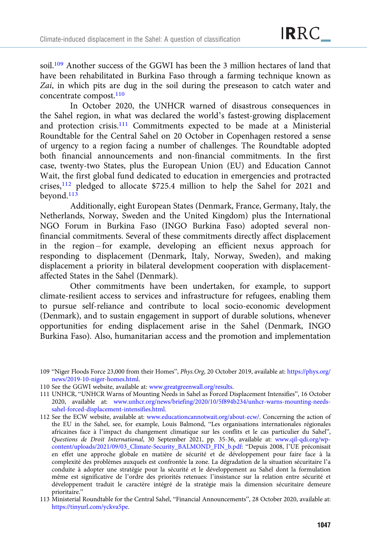soil.<sup>109</sup> Another success of the GGWI has been the 3 million hectares of land that have been rehabilitated in Burkina Faso through a farming technique known as Zai, in which pits are dug in the soil during the preseason to catch water and concentrate compost.<sup>110</sup>

In October 2020, the UNHCR warned of disastrous consequences in the Sahel region, in what was declared the world's fastest-growing displacement and protection crisis.111 Commitments expected to be made at a Ministerial Roundtable for the Central Sahel on 20 October in Copenhagen restored a sense of urgency to a region facing a number of challenges. The Roundtable adopted both financial announcements and non-financial commitments. In the first case, twenty-two States, plus the European Union (EU) and Education Cannot Wait, the first global fund dedicated to education in emergencies and protracted crises,<sup>112</sup> pledged to allocate \$725.4 million to help the Sahel for 2021 and beyond.<sup>113</sup>

Additionally, eight European States (Denmark, France, Germany, Italy, the Netherlands, Norway, Sweden and the United Kingdom) plus the International NGO Forum in Burkina Faso (INGO Burkina Faso) adopted several nonfinancial commitments. Several of these commitments directly affect displacement in the region – for example, developing an efficient nexus approach for responding to displacement (Denmark, Italy, Norway, Sweden), and making displacement a priority in bilateral development cooperation with displacementaffected States in the Sahel (Denmark).

Other commitments have been undertaken, for example, to support climate-resilient access to services and infrastructure for refugees, enabling them to pursue self-reliance and contribute to local socio-economic development (Denmark), and to sustain engagement in support of durable solutions, whenever opportunities for ending displacement arise in the Sahel (Denmark, INGO Burkina Faso). Also, humanitarian access and the promotion and implementation

110 See the GGWI website, available at: [www.greatgreenwall.org/results](https://www.greatgreenwall.org/results).

111 UNHCR, "UNHCR Warns of Mounting Needs in Sahel as Forced Displacement Intensifies", 16 October 2020, available at: [www.unhcr.org/news/briefing/2020/10/5f894b234/unhcr-warns-mounting-needs](https://www.unhcr.org/news/briefing/2020/10/5f894b234/unhcr-warns-mounting-needs-sahel-forced-displacement-intensifies.html)[sahel-forced-displacement-intensifies.html](https://www.unhcr.org/news/briefing/2020/10/5f894b234/unhcr-warns-mounting-needs-sahel-forced-displacement-intensifies.html).

112 See the ECW website, available at: [www.educationcannotwait.org/about-ecw/](https://www.educationcannotwait.org/about-ecw/). Concerning the action of the EU in the Sahel, see, for example, Louis Balmond, "Les organisations internationales régionales africaines face à l'impact du changement climatique sur les conflits et le cas particulier du Sahel", Questions de Droit International, 30 September 2021, pp. 35-36, available at: [www.qil-qdi.org/wp](http://www.qil-qdi.org/wp-content/uploads/2021/09/03_Climate-Security_BALMOND_FIN_b.pdf)[content/uploads/2021/09/03\\_Climate-Security\\_BALMOND\\_FIN\\_b.pdf](http://www.qil-qdi.org/wp-content/uploads/2021/09/03_Climate-Security_BALMOND_FIN_b.pdf): "Depuis 2008, l'UE préconisait en effet une approche globale en matière de sécurité et de développement pour faire face à la complexité des problèmes auxquels est confrontée la zone. La dégradation de la situation sécuritaire l'a conduite à adopter une stratégie pour la sécurité et le développement au Sahel dont la formulation même est significative de l'ordre des priorités retenues: l'insistance sur la relation entre sécurité et développement traduit le caractère intégré de la stratégie mais la dimension sécuritaire demeure prioritaire."

113 Ministerial Roundtable for the Central Sahel, "Financial Announcements", 28 October 2020, available at: <https://tinyurl.com/yckva5pe>.

<sup>109</sup> "Niger Floods Force 23,000 from their Homes", Phys.Org, 20 October 2019, available at: [https://phys.org/](https://phys.org/news/2019-10-niger-homes.html) [news/2019-10-niger-homes.html.](https://phys.org/news/2019-10-niger-homes.html)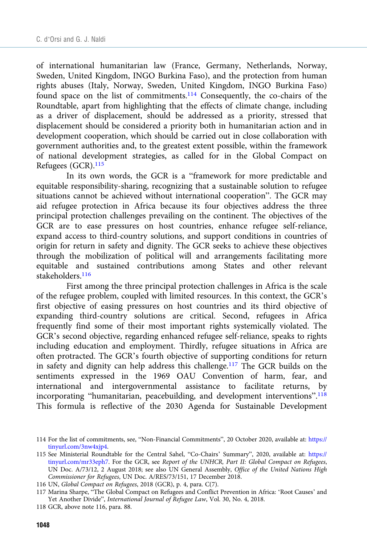of international humanitarian law (France, Germany, Netherlands, Norway, Sweden, United Kingdom, INGO Burkina Faso), and the protection from human rights abuses (Italy, Norway, Sweden, United Kingdom, INGO Burkina Faso) found space on the list of commitments.<sup>114</sup> Consequently, the co-chairs of the Roundtable, apart from highlighting that the effects of climate change, including as a driver of displacement, should be addressed as a priority, stressed that displacement should be considered a priority both in humanitarian action and in development cooperation, which should be carried out in close collaboration with government authorities and, to the greatest extent possible, within the framework of national development strategies, as called for in the Global Compact on Refugees (GCR).115

In its own words, the GCR is a "framework for more predictable and equitable responsibility-sharing, recognizing that a sustainable solution to refugee situations cannot be achieved without international cooperation". The GCR may aid refugee protection in Africa because its four objectives address the three principal protection challenges prevailing on the continent. The objectives of the GCR are to ease pressures on host countries, enhance refugee self-reliance, expand access to third-country solutions, and support conditions in countries of origin for return in safety and dignity. The GCR seeks to achieve these objectives through the mobilization of political will and arrangements facilitating more equitable and sustained contributions among States and other relevant stakeholders.116

First among the three principal protection challenges in Africa is the scale of the refugee problem, coupled with limited resources. In this context, the GCR's first objective of easing pressures on host countries and its third objective of expanding third-country solutions are critical. Second, refugees in Africa frequently find some of their most important rights systemically violated. The GCR's second objective, regarding enhanced refugee self-reliance, speaks to rights including education and employment. Thirdly, refugee situations in Africa are often protracted. The GCR's fourth objective of supporting conditions for return in safety and dignity can help address this challenge.117 The GCR builds on the sentiments expressed in the 1969 OAU Convention of harm, fear, and international and intergovernmental assistance to facilitate returns, by incorporating "humanitarian, peacebuilding, and development interventions".<sup>118</sup> This formula is reflective of the 2030 Agenda for Sustainable Development

116 UN, Global Compact on Refugees, 2018 (GCR), p. 4, para. C(7).

<sup>114</sup> For the list of commitments, see, "Non-Financial Commitments", 20 October 2020, available at: [https://](https://tinyurl.com/3nw4xjp4) [tinyurl.com/3nw4xjp4](https://tinyurl.com/3nw4xjp4).

<sup>115</sup> See Ministerial Roundtable for the Central Sahel, "Co-Chairs' Summary", 2020, available at: [https://](https://tinyurl.com/mr33eph7) [tinyurl.com/mr33eph7.](https://tinyurl.com/mr33eph7) For the GCR, see Report of the UNHCR, Part II: Global Compact on Refugees, UN Doc. A/73/12, 2 August 2018; see also UN General Assembly, Office of the United Nations High Commissioner for Refugees, UN Doc. A/RES/73/151, 17 December 2018.

<sup>117</sup> Marina Sharpe, "The Global Compact on Refugees and Conflict Prevention in Africa: 'Root Causes' and Yet Another Divide", International Journal of Refugee Law, Vol. 30, No. 4, 2018.

<sup>118</sup> GCR, above note 116, para. 88.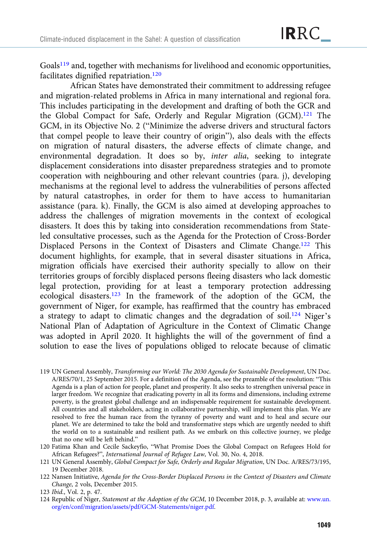Goals<sup>119</sup> and, together with mechanisms for livelihood and economic opportunities, facilitates dignified repatriation.120

African States have demonstrated their commitment to addressing refugee and migration-related problems in Africa in many international and regional fora. This includes participating in the development and drafting of both the GCR and the Global Compact for Safe, Orderly and Regular Migration (GCM).<sup>121</sup> The GCM, in its Objective No. 2 ("Minimize the adverse drivers and structural factors that compel people to leave their country of origin"), also deals with the effects on migration of natural disasters, the adverse effects of climate change, and environmental degradation. It does so by, inter alia, seeking to integrate displacement considerations into disaster preparedness strategies and to promote cooperation with neighbouring and other relevant countries (para. j), developing mechanisms at the regional level to address the vulnerabilities of persons affected by natural catastrophes, in order for them to have access to humanitarian assistance (para. k). Finally, the GCM is also aimed at developing approaches to address the challenges of migration movements in the context of ecological disasters. It does this by taking into consideration recommendations from Stateled consultative processes, such as the Agenda for the Protection of Cross-Border Displaced Persons in the Context of Disasters and Climate Change.122 This document highlights, for example, that in several disaster situations in Africa, migration officials have exercised their authority specially to allow on their territories groups of forcibly displaced persons fleeing disasters who lack domestic legal protection, providing for at least a temporary protection addressing ecological disasters.123 In the framework of the adoption of the GCM, the government of Niger, for example, has reaffirmed that the country has embraced a strategy to adapt to climatic changes and the degradation of soil.<sup>124</sup> Niger's National Plan of Adaptation of Agriculture in the Context of Climatic Change was adopted in April 2020. It highlights the will of the government of find a solution to ease the lives of populations obliged to relocate because of climatic

- 119 UN General Assembly, Transforming our World: The 2030 Agenda for Sustainable Development, UN Doc. A/RES/70/1, 25 September 2015. For a definition of the Agenda, see the preamble of the resolution: "This Agenda is a plan of action for people, planet and prosperity. It also seeks to strengthen universal peace in larger freedom. We recognize that eradicating poverty in all its forms and dimensions, including extreme poverty, is the greatest global challenge and an indispensable requirement for sustainable development. All countries and all stakeholders, acting in collaborative partnership, will implement this plan. We are resolved to free the human race from the tyranny of poverty and want and to heal and secure our planet. We are determined to take the bold and transformative steps which are urgently needed to shift the world on to a sustainable and resilient path. As we embark on this collective journey, we pledge that no one will be left behind."
- 120 Fatima Khan and Cecile Sackeyfio, "What Promise Does the Global Compact on Refugees Hold for African Refugees?", International Journal of Refugee Law, Vol. 30, No. 4, 2018.
- 121 UN General Assembly, Global Compact for Safe, Orderly and Regular Migration, UN Doc. A/RES/73/195, 19 December 2018.
- 122 Nansen Initiative, Agenda for the Cross-Border Displaced Persons in the Context of Disasters and Climate Change, 2 vols, December 2015.

124 Republic of Niger, Statement at the Adoption of the GCM, 10 December 2018, p. 3, available at: [www.un.](https://www.un.org/en/conf/migration/assets/pdf/GCM-Statements/niger.pdf) [org/en/conf/migration/assets/pdf/GCM-Statements/niger.pdf](https://www.un.org/en/conf/migration/assets/pdf/GCM-Statements/niger.pdf).

<sup>123</sup> Ibid., Vol. 2, p. 47.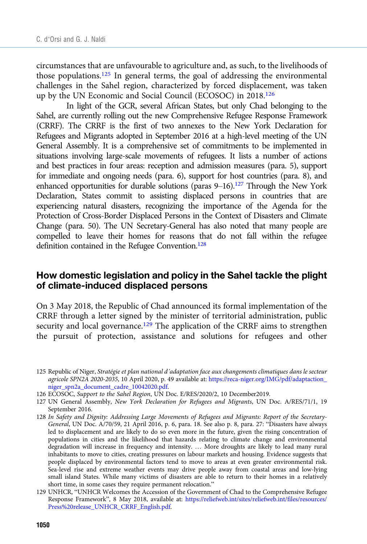circumstances that are unfavourable to agriculture and, as such, to the livelihoods of those populations.125 In general terms, the goal of addressing the environmental challenges in the Sahel region, characterized by forced displacement, was taken up by the UN Economic and Social Council (ECOSOC) in 2018.126

In light of the GCR, several African States, but only Chad belonging to the Sahel, are currently rolling out the new Comprehensive Refugee Response Framework (CRRF). The CRRF is the first of two annexes to the New York Declaration for Refugees and Migrants adopted in September 2016 at a high-level meeting of the UN General Assembly. It is a comprehensive set of commitments to be implemented in situations involving large-scale movements of refugees. It lists a number of actions and best practices in four areas: reception and admission measures (para. 5), support for immediate and ongoing needs (para. 6), support for host countries (para. 8), and enhanced opportunities for durable solutions (paras  $9-16$ ).<sup>127</sup> Through the New York Declaration, States commit to assisting displaced persons in countries that are experiencing natural disasters, recognizing the importance of the Agenda for the Protection of Cross-Border Displaced Persons in the Context of Disasters and Climate Change (para. 50). The UN Secretary-General has also noted that many people are compelled to leave their homes for reasons that do not fall within the refugee definition contained in the Refugee Convention.<sup>128</sup>

#### How domestic legislation and policy in the Sahel tackle the plight of climate-induced displaced persons

On 3 May 2018, the Republic of Chad announced its formal implementation of the CRRF through a letter signed by the minister of territorial administration, public security and local governance.<sup>129</sup> The application of the CRRF aims to strengthen the pursuit of protection, assistance and solutions for refugees and other

125 Republic of Niger, Stratégie et plan national d'adaptation face aux changements climatiques dans le secteur agricole SPN2A 2020-2035, 10 April 2020, p. 49 available at: [https://reca-niger.org/IMG/pdf/adaptaction\\_](https://reca-niger.org/IMG/pdf/adaptaction_niger_spn2a_document_cadre_10042020.pdf) [niger\\_spn2a\\_document\\_cadre\\_10042020.pdf.](https://reca-niger.org/IMG/pdf/adaptaction_niger_spn2a_document_cadre_10042020.pdf)

127 UN General Assembly, New York Declaration for Refugees and Migrants, UN Doc. A/RES/71/1, 19 September 2016.

128 In Safety and Dignity: Addressing Large Movements of Refugees and Migrants: Report of the Secretary-General, UN Doc. A/70/59, 21 April 2016, p. 6, para. 18. See also p. 8, para. 27: "Disasters have always led to displacement and are likely to do so even more in the future, given the rising concentration of populations in cities and the likelihood that hazards relating to climate change and environmental degradation will increase in frequency and intensity. … More droughts are likely to lead many rural inhabitants to move to cities, creating pressures on labour markets and housing. Evidence suggests that people displaced by environmental factors tend to move to areas at even greater environmental risk. Sea-level rise and extreme weather events may drive people away from coastal areas and low-lying small island States. While many victims of disasters are able to return to their homes in a relatively short time, in some cases they require permanent relocation."

129 UNHCR, "UNHCR Welcomes the Accession of the Government of Chad to the Comprehensive Refugee Response Framework", 8 May 2018, available at: [https://reliefweb.int/sites/reliefweb.int/files/resources/](https://reliefweb.int/sites/reliefweb.int/files/resources/Press%20release_UNHCR_CRRF_English.pdf) [Press%20release\\_UNHCR\\_CRRF\\_English.pdf.](https://reliefweb.int/sites/reliefweb.int/files/resources/Press%20release_UNHCR_CRRF_English.pdf)

<sup>126</sup> ECOSOC, Support to the Sahel Region, UN Doc. E/RES/2020/2, 10 December2019.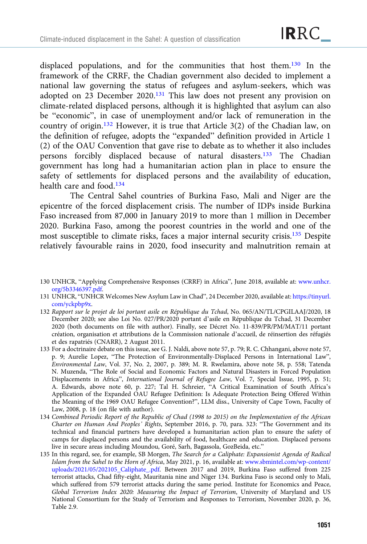displaced populations, and for the communities that host them.<sup>130</sup> In the framework of the CRRF, the Chadian government also decided to implement a national law governing the status of refugees and asylum-seekers, which was adopted on 23 December 2020.<sup>131</sup> This law does not present any provision on climate-related displaced persons, although it is highlighted that asylum can also be "economic", in case of unemployment and/or lack of remuneration in the country of origin.<sup>132</sup> However, it is true that Article 3(2) of the Chadian law, on the definition of refugee, adopts the "expanded" definition provided in Article 1 (2) of the OAU Convention that gave rise to debate as to whether it also includes persons forcibly displaced because of natural disasters.<sup>133</sup> The Chadian government has long had a humanitarian action plan in place to ensure the safety of settlements for displaced persons and the availability of education, health care and food.<sup>134</sup>

The Central Sahel countries of Burkina Faso, Mali and Niger are the epicentre of the forced displacement crisis. The number of IDPs inside Burkina Faso increased from 87,000 in January 2019 to more than 1 million in December 2020. Burkina Faso, among the poorest countries in the world and one of the most susceptible to climate risks, faces a major internal security crisis.135 Despite relatively favourable rains in 2020, food insecurity and malnutrition remain at

- 130 UNHCR, "Applying Comprehensive Responses (CRRF) in Africa", June 2018, available at: [www.unhcr.](https://www.unhcr.org/5b3346397.pdf) [org/5b3346397.pdf.](https://www.unhcr.org/5b3346397.pdf)
- 131 UNHCR, "UNHCR Welcomes New Asylum Law in Chad", 24 December 2020, available at: [https://tinyurl.](https://tinyurl.com/yckpbp9x) [com/yckpbp9x](https://tinyurl.com/yckpbp9x).
- 132 Rapport sur le projet de loi portant asile en République du Tchad, No. 065/AN/TL/CPGILAAJ/2020, 18 December 2020; see also Loi No. 027/PR/2020 portant d'asile en République du Tchad, 31 December 2020 (both documents on file with author). Finally, see Décret No. 11-839/PR/PM/MAT/11 portant création, organisation et attributions de la Commission nationale d'accueil, de réinsertion des réfugiés et des rapatriés (CNARR), 2 August 2011.
- 133 For a doctrinaire debate on this issue, see G. J. Naldi, above note 57, p. 79; R. C. Chhangani, above note 57, p. 9; Aurelie Lopez, "The Protection of Environmentally-Displaced Persons in International Law", Environmental Law, Vol. 37, No. 2, 2007, p. 389; M. R. Rwelamira, above note 58, p. 558; Tatenda N. Muzenda, "The Role of Social and Economic Factors and Natural Disasters in Forced Population Displacements in Africa", International Journal of Refugee Law, Vol. 7, Special Issue, 1995, p. 51; A. Edwards, above note 60, p. 227; Tal H. Schreier, "A Critical Examination of South Africa's Application of the Expanded OAU Refugee Definition: Is Adequate Protection Being Offered Within the Meaning of the 1969 OAU Refugee Convention?", LLM diss., University of Cape Town, Faculty of Law, 2008, p. 18 (on file with author).
- 134 Combined Periodic Report of the Republic of Chad (1998 to 2015) on the Implementation of the African Charter on Human And Peoples' Rights, September 2016, p. 70, para. 323: "The Government and its technical and financial partners have developed a humanitarian action plan to ensure the safety of camps for displaced persons and the availability of food, healthcare and education. Displaced persons live in secure areas including Moundou, Goré, Sarh, Bagassola, GozBeida, etc."
- 135 In this regard, see, for example, SB Morgen, The Search for a Caliphate: Expansionist Agenda of Radical Islam from the Sahel to the Horn of Africa, May 2021, p. 16, available at: [www.sbmintel.com/wp-content/](https://www.sbmintel.com/wp-content/uploads/2021/05/202105_Caliphate_.pdf) [uploads/2021/05/202105\\_Caliphate\\_.pdf](https://www.sbmintel.com/wp-content/uploads/2021/05/202105_Caliphate_.pdf). Between 2017 and 2019, Burkina Faso suffered from 225 terrorist attacks, Chad fifty-eight, Mauritania nine and Niger 134. Burkina Faso is second only to Mali, which suffered from 579 terrorist attacks during the same period. Institute for Economics and Peace, Global Terrorism Index 2020: Measuring the Impact of Terrorism, University of Maryland and US National Consortium for the Study of Terrorism and Responses to Terrorism, November 2020, p. 36, Table 2.9.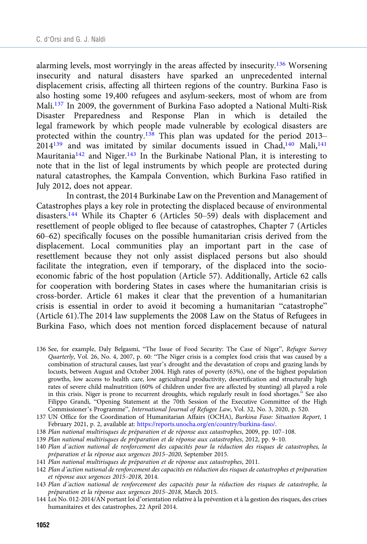alarming levels, most worryingly in the areas affected by insecurity.136 Worsening insecurity and natural disasters have sparked an unprecedented internal displacement crisis, affecting all thirteen regions of the country. Burkina Faso is also hosting some 19,400 refugees and asylum-seekers, most of whom are from Mali.137 In 2009, the government of Burkina Faso adopted a National Multi-Risk Disaster Preparedness and Response Plan in which is detailed the legal framework by which people made vulnerable by ecological disasters are protected within the country.<sup>138</sup> This plan was updated for the period 2013–  $2014^{139}$  and was imitated by similar documents issued in Chad,<sup>140</sup> Mali,<sup>141</sup> Mauritania<sup>142</sup> and Niger.<sup>143</sup> In the Burkinabe National Plan, it is interesting to note that in the list of legal instruments by which people are protected during natural catastrophes, the Kampala Convention, which Burkina Faso ratified in July 2012, does not appear.

In contrast, the 2014 Burkinabe Law on the Prevention and Management of Catastrophes plays a key role in protecting the displaced because of environmental disasters.<sup>144</sup> While its Chapter 6 (Articles  $50-59$ ) deals with displacement and resettlement of people obliged to flee because of catastrophes, Chapter 7 (Articles 60–62) specifically focuses on the possible humanitarian crisis derived from the displacement. Local communities play an important part in the case of resettlement because they not only assist displaced persons but also should facilitate the integration, even if temporary, of the displaced into the socioeconomic fabric of the host population (Article 57). Additionally, Article 62 calls for cooperation with bordering States in cases where the humanitarian crisis is cross-border. Article 61 makes it clear that the prevention of a humanitarian crisis is essential in order to avoid it becoming a humanitarian "catastrophe" (Article 61).The 2014 law supplements the 2008 Law on the Status of Refugees in Burkina Faso, which does not mention forced displacement because of natural

136 See, for example, Daly Belgasmi, "The Issue of Food Security: The Case of Niger", Refugee Survey Quarterly, Vol. 26, No. 4, 2007, p. 60: "The Niger crisis is a complex food crisis that was caused by a combination of structural causes, last year's drought and the devastation of crops and grazing lands by locusts, between August and October 2004. High rates of poverty (63%), one of the highest population growths, low access to health care, low agricultural productivity, desertification and structurally high rates of severe child malnutrition (60% of children under five are affected by stunting) all played a role in this crisis. Niger is prone to recurrent droughts, which regularly result in food shortages." See also Filippo Grandi, "Opening Statement at the 70th Session of the Executive Committee of the High Commissioner's Programme", International Journal of Refugee Law, Vol. 32, No. 3, 2020, p. 520.

- 137 UN Office for the Coordination of Humanitarian Affairs (OCHA), Burkina Faso: Situation Report, 1 February 2021, p. 2, available at: <https://reports.unocha.org/en/country/burkina-faso/>.
- 138 Plan national multirisques de préparation et de réponse aux catastrophes, 2009, pp. 107–108.
- 139 Plan national multirisques de préparation et de réponse aux catastrophes, 2012, pp. 9–10.
- 140 Plan d'action national de renforcement des capacités pour la réduction des risques de catastrophes, la préparation et la réponse aux urgences 2015–2020, September 2015.
- 141 Plan national multirisques de préparation et de réponse aux catastrophes, 2011.
- 142 Plan d'action national de renforcement des capacités en réduction des risques de catastrophes et préparation et réponse aux urgences 2015–2018, 2014.
- 143 Plan d'action national de renforcement des capacités pour la réduction des risques de catastrophe, la préparation et la réponse aux urgences 2015–2018, March 2015.
- 144 Loi No. 012-2014/AN portant loi d'orientation relative à la prévention et à la gestion des risques, des crises humanitaires et des catastrophes, 22 April 2014.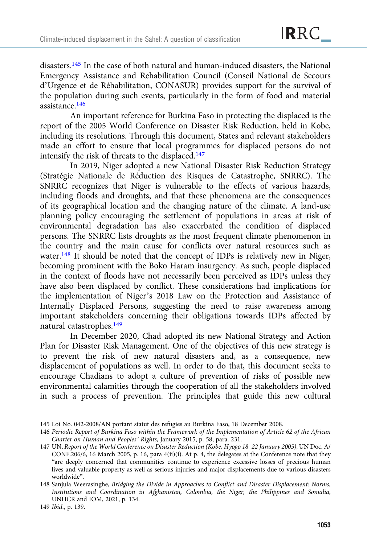disasters.145 In the case of both natural and human-induced disasters, the National Emergency Assistance and Rehabilitation Council (Conseil National de Secours d'Urgence et de Réhabilitation, CONASUR) provides support for the survival of the population during such events, particularly in the form of food and material assistance.146

An important reference for Burkina Faso in protecting the displaced is the report of the 2005 World Conference on Disaster Risk Reduction, held in Kobe, including its resolutions. Through this document, States and relevant stakeholders made an effort to ensure that local programmes for displaced persons do not intensify the risk of threats to the displaced.147

In 2019, Niger adopted a new National Disaster Risk Reduction Strategy (Stratégie Nationale de Réduction des Risques de Catastrophe, SNRRC). The SNRRC recognizes that Niger is vulnerable to the effects of various hazards, including floods and droughts, and that these phenomena are the consequences of its geographical location and the changing nature of the climate. A land-use planning policy encouraging the settlement of populations in areas at risk of environmental degradation has also exacerbated the condition of displaced persons. The SNRRC lists droughts as the most frequent climate phenomenon in the country and the main cause for conflicts over natural resources such as water.<sup>148</sup> It should be noted that the concept of IDPs is relatively new in Niger, becoming prominent with the Boko Haram insurgency. As such, people displaced in the context of floods have not necessarily been perceived as IDPs unless they have also been displaced by conflict. These considerations had implications for the implementation of Niger's 2018 Law on the Protection and Assistance of Internally Displaced Persons, suggesting the need to raise awareness among important stakeholders concerning their obligations towards IDPs affected by natural catastrophes.<sup>149</sup>

In December 2020, Chad adopted its new National Strategy and Action Plan for Disaster Risk Management. One of the objectives of this new strategy is to prevent the risk of new natural disasters and, as a consequence, new displacement of populations as well. In order to do that, this document seeks to encourage Chadians to adopt a culture of prevention of risks of possible new environmental calamities through the cooperation of all the stakeholders involved in such a process of prevention. The principles that guide this new cultural

<sup>145</sup> Loi No. 042-2008/AN portant statut des refugies au Burkina Faso, 18 December 2008.

<sup>146</sup> Periodic Report of Burkina Faso within the Framework of the Implementation of Article 62 of the African Charter on Human and Peoples' Rights, January 2015, p. 58, para. 231.

<sup>147</sup> UN, Report of the World Conference on Disaster Reduction (Kobe, Hyogo 18–22 January 2005), UN Doc. A/ CONF.206/6, 16 March 2005, p. 16, para 4(ii)(i). At p. 4, the delegates at the Conference note that they "are deeply concerned that communities continue to experience excessive losses of precious human lives and valuable property as well as serious injuries and major displacements due to various disasters worldwide".

<sup>148</sup> Sanjula Weerasinghe, Bridging the Divide in Approaches to Conflict and Disaster Displacement: Norms, Institutions and Coordination in Afghanistan, Colombia, the Niger, the Philippines and Somalia, UNHCR and IOM, 2021, p. 134.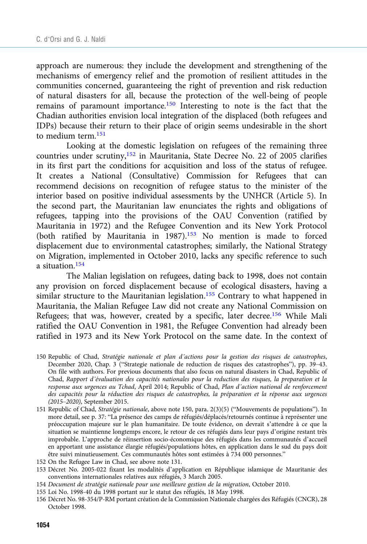approach are numerous: they include the development and strengthening of the mechanisms of emergency relief and the promotion of resilient attitudes in the communities concerned, guaranteeing the right of prevention and risk reduction of natural disasters for all, because the protection of the well-being of people remains of paramount importance.150 Interesting to note is the fact that the Chadian authorities envision local integration of the displaced (both refugees and IDPs) because their return to their place of origin seems undesirable in the short to medium term.151

Looking at the domestic legislation on refugees of the remaining three countries under scrutiny,<sup>152</sup> in Mauritania, State Decree No. 22 of 2005 clarifies in its first part the conditions for acquisition and loss of the status of refugee. It creates a National (Consultative) Commission for Refugees that can recommend decisions on recognition of refugee status to the minister of the interior based on positive individual assessments by the UNHCR (Article 5). In the second part, the Mauritanian law enunciates the rights and obligations of refugees, tapping into the provisions of the OAU Convention (ratified by Mauritania in 1972) and the Refugee Convention and its New York Protocol (both ratified by Mauritania in 1987).<sup>153</sup> No mention is made to forced displacement due to environmental catastrophes; similarly, the National Strategy on Migration, implemented in October 2010, lacks any specific reference to such a situation.154

The Malian legislation on refugees, dating back to 1998, does not contain any provision on forced displacement because of ecological disasters, having a similar structure to the Mauritanian legislation.<sup>155</sup> Contrary to what happened in Mauritania, the Malian Refugee Law did not create any National Commission on Refugees; that was, however, created by a specific, later decree.156 While Mali ratified the OAU Convention in 1981, the Refugee Convention had already been ratified in 1973 and its New York Protocol on the same date. In the context of

- 150 Republic of Chad, Stratégie nationale et plan d'actions pour la gestion des risques de catastrophes, December 2020, Chap. 3 ("Strategie nationale de reduction de risques des catastrophes"), pp. 39–43. On file with authors. For previous documents that also focus on natural disasters in Chad, Republic of Chad, Rapport d'évaluation des capacités nationales pour la reduction des risques, la preparation et la response aux urgences au Tchad, April 2014; Republic of Chad, Plan d'action national de renforcement des capacités pour la réduction des risques de catastrophes, la préparation et la réponse aux urgences (2015–2020), September 2015.
- 151 Republic of Chad, Stratégie nationale, above note 150, para. 2(3)(5) ("Mouvements de populations"). In more detail, see p. 37: "La présence des camps de réfugiés/déplacés/retournés continue à représenter une préoccupation majeure sur le plan humanitaire. De toute évidence, on devrait s'attendre à ce que la situation se maintienne longtemps encore, le retour de ces réfugiés dans leur pays d'origine restant très improbable. L'approche de réinsertion socio-économique des réfugiés dans les communautés d'accueil en apportant une assistance élargie réfugiés/populations hôtes, en application dans le sud du pays doit être suivi minutieusement. Ces communautés hôtes sont estimées à 734 000 personnes."
- 152 On the Refugee Law in Chad, see above note 131.
- 153 Décret No. 2005-022 fixant les modalités d'application en République islamique de Mauritanie des conventions internationales relatives aux réfugiés, 3 March 2005.
- 154 Document de stratégie nationale pour une meilleure gestion de la migration, October 2010.
- 155 Loi No. 1998-40 du 1998 portant sur le statut des réfugiés, 18 May 1998.
- 156 Décret No. 98-354/P-RM portant création de la Commission Nationale chargées des Réfugiés (CNCR), 28 October 1998.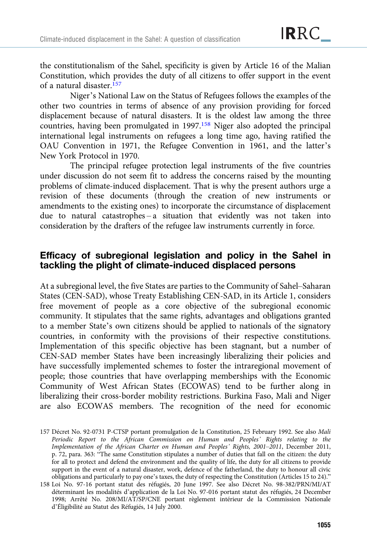the constitutionalism of the Sahel, specificity is given by Article 16 of the Malian Constitution, which provides the duty of all citizens to offer support in the event of a natural disaster  $157$ 

Niger's National Law on the Status of Refugees follows the examples of the other two countries in terms of absence of any provision providing for forced displacement because of natural disasters. It is the oldest law among the three countries, having been promulgated in 1997.158 Niger also adopted the principal international legal instruments on refugees a long time ago, having ratified the OAU Convention in 1971, the Refugee Convention in 1961, and the latter's New York Protocol in 1970.

The principal refugee protection legal instruments of the five countries under discussion do not seem fit to address the concerns raised by the mounting problems of climate-induced displacement. That is why the present authors urge a revision of these documents (through the creation of new instruments or amendments to the existing ones) to incorporate the circumstance of displacement due to natural catastrophes – a situation that evidently was not taken into consideration by the drafters of the refugee law instruments currently in force.

## Efficacy of subregional legislation and policy in the Sahel in tackling the plight of climate-induced displaced persons

At a subregional level, the five States are parties to the Community of Sahel–Saharan States (CEN-SAD), whose Treaty Establishing CEN-SAD, in its Article 1, considers free movement of people as a core objective of the subregional economic community. It stipulates that the same rights, advantages and obligations granted to a member State's own citizens should be applied to nationals of the signatory countries, in conformity with the provisions of their respective constitutions. Implementation of this specific objective has been stagnant, but a number of CEN-SAD member States have been increasingly liberalizing their policies and have successfully implemented schemes to foster the intraregional movement of people; those countries that have overlapping memberships with the Economic Community of West African States (ECOWAS) tend to be further along in liberalizing their cross-border mobility restrictions. Burkina Faso, Mali and Niger are also ECOWAS members. The recognition of the need for economic

157 Décret No. 92-0731 P-CTSP portant promulgation de la Constitution, 25 February 1992. See also Mali Periodic Report to the African Commission on Human and Peoples' Rights relating to the Implementation of the African Charter on Human and Peoples' Rights, 2001–2011, December 2011, p. 72, para. 363: "The same Constitution stipulates a number of duties that fall on the citizen: the duty for all to protect and defend the environment and the quality of life, the duty for all citizens to provide support in the event of a natural disaster, work, defence of the fatherland, the duty to honour all civic obligations and particularly to pay one's taxes, the duty of respecting the Constitution (Articles 15 to 24)."

158 Loi No. 97-16 portant statut des réfugiés, 20 June 1997. See also Décret No. 98-382/PRN/MI/AT déterminant les modalités d'application de la Loi No. 97-016 portant statut des réfugiés, 24 December 1998; Arrêté No. 208/MI/AT/SP/CNE portant règlement intérieur de la Commission Nationale d'Éligibilité au Statut des Réfugiés, 14 July 2000.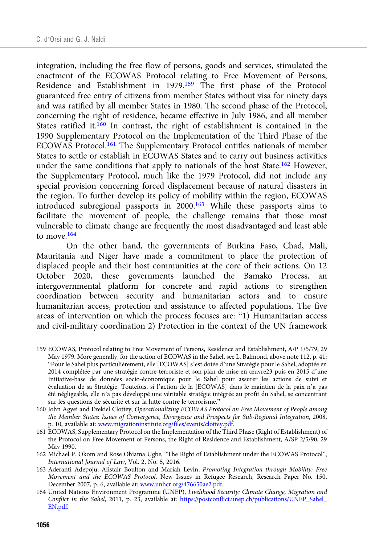integration, including the free flow of persons, goods and services, stimulated the enactment of the ECOWAS Protocol relating to Free Movement of Persons, Residence and Establishment in 1979.159 The first phase of the Protocol guaranteed free entry of citizens from member States without visa for ninety days and was ratified by all member States in 1980. The second phase of the Protocol, concerning the right of residence, became effective in July 1986, and all member States ratified it.<sup>160</sup> In contrast, the right of establishment is contained in the 1990 Supplementary Protocol on the Implementation of the Third Phase of the ECOWAS Protocol.161 The Supplementary Protocol entitles nationals of member States to settle or establish in ECOWAS States and to carry out business activities under the same conditions that apply to nationals of the host State.<sup>162</sup> However, the Supplementary Protocol, much like the 1979 Protocol, did not include any special provision concerning forced displacement because of natural disasters in the region. To further develop its policy of mobility within the region, ECOWAS introduced subregional passports in 2000.163 While these passports aims to facilitate the movement of people, the challenge remains that those most vulnerable to climate change are frequently the most disadvantaged and least able to move.<sup>164</sup>

On the other hand, the governments of Burkina Faso, Chad, Mali, Mauritania and Niger have made a commitment to place the protection of displaced people and their host communities at the core of their actions. On 12 October 2020, these governments launched the Bamako Process, an intergovernmental platform for concrete and rapid actions to strengthen coordination between security and humanitarian actors and to ensure humanitarian access, protection and assistance to affected populations. The five areas of intervention on which the process focuses are: "1) Humanitarian access and civil-military coordination 2) Protection in the context of the UN framework

- 159 ECOWAS, Protocol relating to Free Movement of Persons, Residence and Establishment, A/P 1/5/79, 29 May 1979. More generally, for the action of ECOWAS in the Sahel, see L. Balmond, above note 112, p. 41: "Pour le Sahel plus particulièrement, elle [ECOWAS] s'est dotée d'une Stratégie pour le Sahel, adoptée en 2014 complétée par une stratégie contre-terroriste et son plan de mise en œuvre23 puis en 2015 d'une Initiative-base de données socio-économique pour le Sahel pour assurer les actions de suivi et évaluation de sa Stratégie. Toutefois, si l'action de la [ECOWAS] dans le maintien de la paix n'a pas été négligeable, elle n'a pas développé une véritable stratégie intégrée au profit du Sahel, se concentrant sur les questions de sécurité et sur la lutte contre le terrorisme."
- 160 John Agyei and Ezekiel Clottey, Operationalizing ECOWAS Protocol on Free Movement of People among the Member States: Issues of Convergence, Divergence and Prospects for Sub-Regional Integration, 2008, p. 10, available at: [www.migrationinstitute.org/files/events/clottey.pdf.](https://www.migrationinstitute.org/files/events/clottey.pdf)
- 161 ECOWAS, Supplementary Protocol on the Implementation of the Third Phase (Right of Establishment) of the Protocol on Free Movement of Persons, the Right of Residence and Establishment, A/SP 2/5/90, 29 May 1990.
- 162 Michael P. Okom and Rose Ohiama Ugbe, "The Right of Establishment under the ECOWAS Protocol", International Journal of Law, Vol. 2, No. 5, 2016.
- 163 Aderanti Adepoju, Alistair Boulton and Mariah Levin, Promoting Integration through Mobility: Free Movement and the ECOWAS Protocol, New Issues in Refugee Research, Research Paper No. 150, December 2007, p. 6, available at: [www.unhcr.org/476650ae2.pdf.](https://www.unhcr.org/476650ae2.pdf)
- 164 United Nations Environment Programme (UNEP), Livelihood Security: Climate Change, Migration and Conflict in the Sahel, 2011, p. 23, available at: [https://postconflict.unep.ch/publications/UNEP\\_Sahel\\_](https://postconflict.unep.ch/publications/UNEP_Sahel_EN.pdf) [EN.pdf](https://postconflict.unep.ch/publications/UNEP_Sahel_EN.pdf).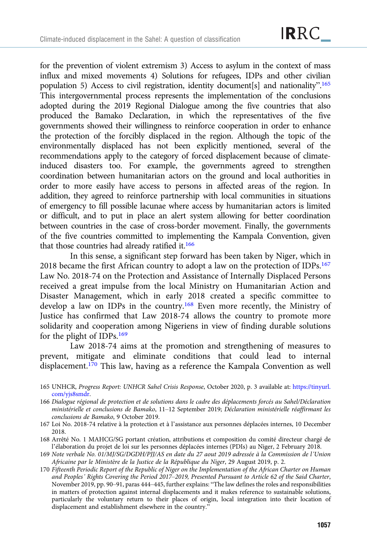for the prevention of violent extremism 3) Access to asylum in the context of mass influx and mixed movements 4) Solutions for refugees, IDPs and other civilian population 5) Access to civil registration, identity document[s] and nationality".<sup>165</sup> This intergovernmental process represents the implementation of the conclusions adopted during the 2019 Regional Dialogue among the five countries that also produced the Bamako Declaration, in which the representatives of the five governments showed their willingness to reinforce cooperation in order to enhance the protection of the forcibly displaced in the region. Although the topic of the environmentally displaced has not been explicitly mentioned, several of the recommendations apply to the category of forced displacement because of climateinduced disasters too. For example, the governments agreed to strengthen coordination between humanitarian actors on the ground and local authorities in order to more easily have access to persons in affected areas of the region. In addition, they agreed to reinforce partnership with local communities in situations of emergency to fill possible lacunae where access by humanitarian actors is limited or difficult, and to put in place an alert system allowing for better coordination between countries in the case of cross-border movement. Finally, the governments of the five countries committed to implementing the Kampala Convention, given that those countries had already ratified it.<sup>166</sup>

In this sense, a significant step forward has been taken by Niger, which in 2018 became the first African country to adopt a law on the protection of IDPs.167 Law No. 2018-74 on the Protection and Assistance of Internally Displaced Persons received a great impulse from the local Ministry on Humanitarian Action and Disaster Management, which in early 2018 created a specific committee to develop a law on IDPs in the country.168 Even more recently, the Ministry of Justice has confirmed that Law 2018-74 allows the country to promote more solidarity and cooperation among Nigeriens in view of finding durable solutions for the plight of IDPs.169

Law 2018-74 aims at the promotion and strengthening of measures to prevent, mitigate and eliminate conditions that could lead to internal displacement.<sup>170</sup> This law, having as a reference the Kampala Convention as well

- 165 UNHCR, Progress Report: UNHCR Sahel Crisis Response, October 2020, p. 3 available at: [https://tinyurl.](https://tinyurl.com/yjs8smdr) [com/yjs8smdr](https://tinyurl.com/yjs8smdr).
- 166 Dialogue régional de protection et de solutions dans le cadre des déplacements forcés au Sahel/Déclaration ministérielle et conclusions de Bamako, 11–12 September 2019; Déclaration ministérielle réaffirmant les conclusions de Bamako, 9 October 2019.
- 167 Loi No. 2018-74 relative à la protection et à l'assistance aux personnes déplacées internes, 10 December 2018.
- 168 Arrêté No. 1 MAHCG/SG portant création, attributions et composition du comité directeur chargé de l'élaboration du projet de loi sur les personnes déplacées internes (PDIs) au Niger, 2 February 2018.
- 169 Note verbale No. 01/MJ/SG/DGDH/PJJ/AS en date du 27 aout 2019 adressée à la Commission de l'Union Africaine par le Ministère de la Justice de la République du Niger, 29 August 2019, p. 2.
- 170 Fifteenth Periodic Report of the Republic of Niger on the Implementation of the African Charter on Human and Peoples' Rights Covering the Period 2017–2019, Presented Pursuant to Article 62 of the Said Charter, November 2019, pp. 90–91, paras 444–445, further explains: "The law defines the roles and responsibilities in matters of protection against internal displacements and it makes reference to sustainable solutions, particularly the voluntary return to their places of origin, local integration into their location of displacement and establishment elsewhere in the country."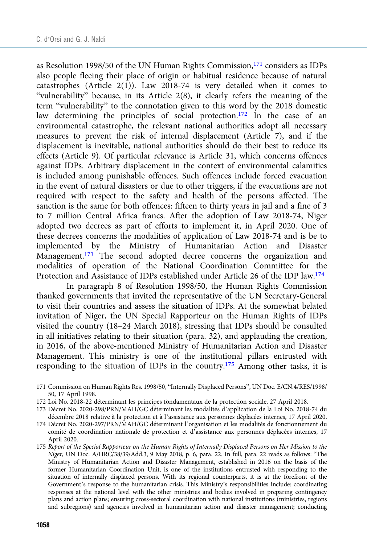as Resolution 1998/50 of the UN Human Rights Commission, $171$  considers as IDPs also people fleeing their place of origin or habitual residence because of natural catastrophes (Article 2(1)). Law 2018-74 is very detailed when it comes to "vulnerability" because, in its Article 2(8), it clearly refers the meaning of the term "vulnerability" to the connotation given to this word by the 2018 domestic law determining the principles of social protection.<sup>172</sup> In the case of an environmental catastrophe, the relevant national authorities adopt all necessary measures to prevent the risk of internal displacement (Article 7), and if the displacement is inevitable, national authorities should do their best to reduce its effects (Article 9). Of particular relevance is Article 31, which concerns offences against IDPs. Arbitrary displacement in the context of environmental calamities is included among punishable offences. Such offences include forced evacuation in the event of natural disasters or due to other triggers, if the evacuations are not required with respect to the safety and health of the persons affected. The sanction is the same for both offences: fifteen to thirty years in jail and a fine of 3 to 7 million Central Africa francs. After the adoption of Law 2018-74, Niger adopted two decrees as part of efforts to implement it, in April 2020. One of these decrees concerns the modalities of application of Law 2018-74 and is be to implemented by the Ministry of Humanitarian Action and Disaster Management.<sup>173</sup> The second adopted decree concerns the organization and modalities of operation of the National Coordination Committee for the Protection and Assistance of IDPs established under Article 26 of the IDP law.174

In paragraph 8 of Resolution 1998/50, the Human Rights Commission thanked governments that invited the representative of the UN Secretary-General to visit their countries and assess the situation of IDPs. At the somewhat belated invitation of Niger, the UN Special Rapporteur on the Human Rights of IDPs visited the country (18–24 March 2018), stressing that IDPs should be consulted in all initiatives relating to their situation (para. 32), and applauding the creation, in 2016, of the above-mentioned Ministry of Humanitarian Action and Disaster Management. This ministry is one of the institutional pillars entrusted with responding to the situation of IDPs in the country.175 Among other tasks, it is

- 171 Commission on Human Rights Res. 1998/50, "Internally Displaced Persons", UN Doc. E/CN.4/RES/1998/ 50, 17 April 1998.
- 172 Loi No. 2018-22 déterminant les principes fondamentaux de la protection sociale, 27 April 2018.
- 173 Décret No. 2020-298/PRN/MAH/GC déterminant les modalités d'application de la Loi No. 2018-74 du décembre 2018 relative à la protection et à l'assistance aux personnes déplacées internes, 17 April 2020.
- 174 Décret No. 2020-297/PRN/MAH/GC déterminant l'organisation et les modalités de fonctionnement du comité de coordination nationale de protection et d'assistance aux personnes déplacées internes, 17 April 2020.
- 175 Report of the Special Rapporteur on the Human Rights of Internally Displaced Persons on Her Mission to the Niger, UN Doc. A/HRC/38/39/Add.3, 9 May 2018, p. 6, para. 22. In full, para. 22 reads as follows: "The Ministry of Humanitarian Action and Disaster Management, established in 2016 on the basis of the former Humanitarian Coordination Unit, is one of the institutions entrusted with responding to the situation of internally displaced persons. With its regional counterparts, it is at the forefront of the Government's response to the humanitarian crisis. This Ministry's responsibilities include: coordinating responses at the national level with the other ministries and bodies involved in preparing contingency plans and action plans; ensuring cross-sectoral coordination with national institutions (ministries, regions and subregions) and agencies involved in humanitarian action and disaster management; conducting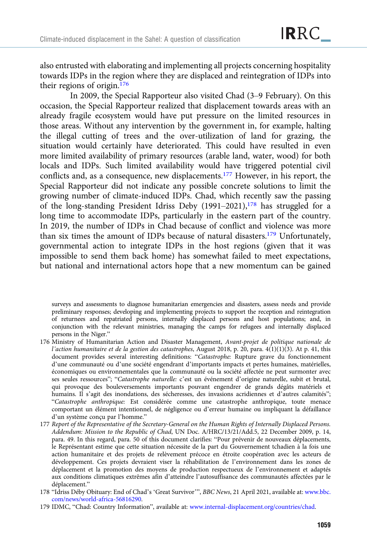also entrusted with elaborating and implementing all projects concerning hospitality towards IDPs in the region where they are displaced and reintegration of IDPs into their regions of origin.176

In 2009, the Special Rapporteur also visited Chad (3–9 February). On this occasion, the Special Rapporteur realized that displacement towards areas with an already fragile ecosystem would have put pressure on the limited resources in those areas. Without any intervention by the government in, for example, halting the illegal cutting of trees and the over-utilization of land for grazing, the situation would certainly have deteriorated. This could have resulted in even more limited availability of primary resources (arable land, water, wood) for both locals and IDPs. Such limited availability would have triggered potential civil conflicts and, as a consequence, new displacements.177 However, in his report, the Special Rapporteur did not indicate any possible concrete solutions to limit the growing number of climate-induced IDPs. Chad, which recently saw the passing of the long-standing President Idriss Deby  $(1991–2021)$ ,<sup>178</sup> has struggled for a long time to accommodate IDPs, particularly in the eastern part of the country. In 2019, the number of IDPs in Chad because of conflict and violence was more than six times the amount of IDPs because of natural disasters.179 Unfortunately, governmental action to integrate IDPs in the host regions (given that it was impossible to send them back home) has somewhat failed to meet expectations, but national and international actors hope that a new momentum can be gained

surveys and assessments to diagnose humanitarian emergencies and disasters, assess needs and provide preliminary responses; developing and implementing projects to support the reception and reintegration of returnees and repatriated persons, internally displaced persons and host populations; and, in conjunction with the relevant ministries, managing the camps for refugees and internally displaced persons in the Niger."

- 176 Ministry of Humanitarian Action and Disaster Management, Avant-projet de politique nationale de l'action humanitaire et de la gestion des catastrophes, August 2018, p. 20, para. 4(1)(1)(3). At p. 41, this document provides several interesting definitions: "Catastrophe: Rupture grave du fonctionnement d'une communauté ou d'une société engendrant d'importants impacts et pertes humaines, matérielles, économiques ou environnementales que la communauté ou la société affectée ne peut surmonter avec ses seules ressources"; "Catastrophe naturelle: c'est un événement d'origine naturelle, subit et brutal, qui provoque des bouleversements importants pouvant engendrer de grands dégâts matériels et humains. Il s'agit des inondations, des sécheresses, des invasions acridiennes et d'autres calamités"; "Catastrophe anthropique: Est considérée comme une catastrophe anthropique, toute menace comportant un élément intentionnel, de négligence ou d'erreur humaine ou impliquant la défaillance d'un système conçu par l'homme."
- 177 Report of the Representative of the Secretary-General on the Human Rights of Internally Displaced Persons. Addendum: Mission to the Republic of Chad, UN Doc. A/HRC/13/21/Add.5, 22 December 2009, p. 14, para. 49. In this regard, para. 50 of this document clarifies: "Pour prévenir de nouveaux déplacements, le Représentant estime que cette situation nécessite de la part du Gouvernement tchadien à la fois une action humanitaire et des projets de relèvement précoce en étroite coopération avec les acteurs de développement. Ces projets devraient viser la réhabilitation de l'environnement dans les zones de déplacement et la promotion des moyens de production respectueux de l'environnement et adaptés aux conditions climatiques extrêmes afin d'atteindre l'autosuffisance des communautés affectées par le déplacement."
- 178 "Idriss Déby Obituary: End of Chad's 'Great Survivor'", BBC News, 21 April 2021, available at: [www.bbc.](https://www.bbc.com/news/world-africa-56816290) [com/news/world-africa-56816290](https://www.bbc.com/news/world-africa-56816290).
- 179 IDMC, "Chad: Country Information", available at: [www.internal-displacement.org/countries/chad.](https://www.internal-displacement.org/countries/chad)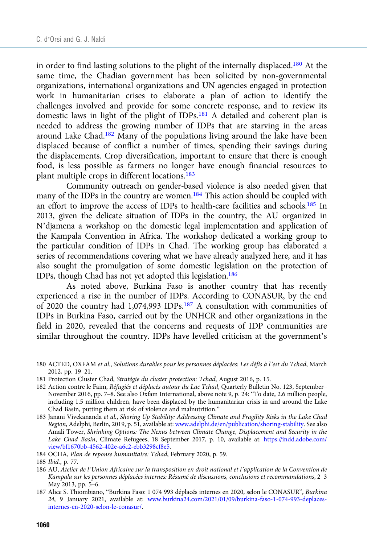in order to find lasting solutions to the plight of the internally displaced.<sup>180</sup> At the same time, the Chadian government has been solicited by non-governmental organizations, international organizations and UN agencies engaged in protection work in humanitarian crises to elaborate a plan of action to identify the challenges involved and provide for some concrete response, and to review its domestic laws in light of the plight of IDPs.181 A detailed and coherent plan is needed to address the growing number of IDPs that are starving in the areas around Lake Chad.182 Many of the populations living around the lake have been displaced because of conflict a number of times, spending their savings during the displacements. Crop diversification, important to ensure that there is enough food, is less possible as farmers no longer have enough financial resources to plant multiple crops in different locations.183

Community outreach on gender-based violence is also needed given that many of the IDPs in the country are women.<sup>184</sup> This action should be coupled with an effort to improve the access of IDPs to health-care facilities and schools.<sup>185</sup> In 2013, given the delicate situation of IDPs in the country, the AU organized in N'djamena a workshop on the domestic legal implementation and application of the Kampala Convention in Africa. The workshop dedicated a working group to the particular condition of IDPs in Chad. The working group has elaborated a series of recommendations covering what we have already analyzed here, and it has also sought the promulgation of some domestic legislation on the protection of IDPs, though Chad has not yet adopted this legislation.186

As noted above, Burkina Faso is another country that has recently experienced a rise in the number of IDPs. According to CONASUR, by the end of 2020 the country had 1,074,993 IDPs.187 A consultation with communities of IDPs in Burkina Faso, carried out by the UNHCR and other organizations in the field in 2020, revealed that the concerns and requests of IDP communities are similar throughout the country. IDPs have levelled criticism at the government's

- 180 ACTED, OXFAM et al., Solutions durables pour les personnes déplacées: Les défis à l'est du Tchad, March 2012, pp. 19–21.
- 181 Protection Cluster Chad, Stratégie du cluster protection: Tchad, August 2016, p. 15.
- 182 Action contre le Faim, Réfugiés et déplacés autour du Lac Tchad, Quarterly Bulletin No. 123, September– November 2016, pp. 7–8. See also Oxfam International, above note 9, p. 24: "To date, 2.6 million people, including 1.5 million children, have been displaced by the humanitarian crisis in and around the Lake Chad Basin, putting them at risk of violence and malnutrition."
- 183 Janani Vivekananda et al., Shoring Up Stability: Addressing Climate and Fragility Risks in the Lake Chad Region, Adelphi, Berlin, 2019, p. 51, available at: [www.adelphi.de/en/publication/shoring-stability.](https://www.adelphi.de/en/publication/shoring-stability) See also Amali Tower, Shrinking Options: The Nexus between Climate Change, Displacement and Security in the Lake Chad Basin, Climate Refugees, 18 September 2017, p. 10, available at: [https://indd.adobe.com/](https://indd.adobe.com/view/bf1670bb-4562-402e-a6c2-ebb3298cf8e5) [view/bf1670bb-4562-402e-a6c2-ebb3298cf8e5](https://indd.adobe.com/view/bf1670bb-4562-402e-a6c2-ebb3298cf8e5).
- 184 OCHA, Plan de reponse humanitaire: Tchad, February 2020, p. 59.

- 186 AU, Atelier de l'Union Africaine sur la transposition en droit national et l'application de la Convention de Kampala sur les personnes déplacées internes: Résumé de discussions, conclusions et recommandations, 2–3 May 2013, pp. 5–6.
- 187 Alice S. Thiombiano, "Burkina Faso: 1 074 993 déplacés internes en 2020, selon le CONASUR", Burkina 24, 9 January 2021, available at: [www.burkina24.com/2021/01/09/burkina-faso-1-074-993-deplaces](https://www.burkina24.com/2021/01/09/burkina-faso-1-074-993-deplaces-internes-en-2020-selon-le-conasur/)[internes-en-2020-selon-le-conasur/.](https://www.burkina24.com/2021/01/09/burkina-faso-1-074-993-deplaces-internes-en-2020-selon-le-conasur/)

<sup>185</sup> Ibid., p. 77.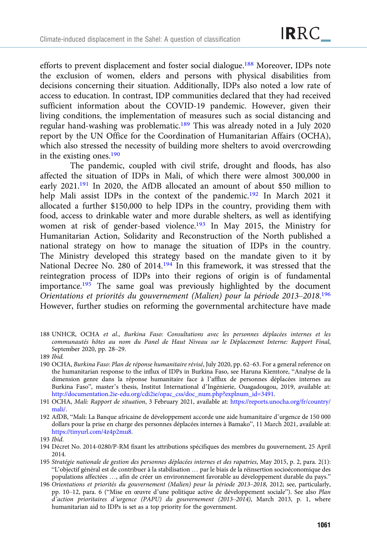efforts to prevent displacement and foster social dialogue.188 Moreover, IDPs note the exclusion of women, elders and persons with physical disabilities from decisions concerning their situation. Additionally, IDPs also noted a low rate of access to education. In contrast, IDP communities declared that they had received sufficient information about the COVID-19 pandemic. However, given their living conditions, the implementation of measures such as social distancing and regular hand-washing was problematic.189 This was already noted in a July 2020 report by the UN Office for the Coordination of Humanitarian Affairs (OCHA), which also stressed the necessity of building more shelters to avoid overcrowding in the existing ones.190

The pandemic, coupled with civil strife, drought and floods, has also affected the situation of IDPs in Mali, of which there were almost 300,000 in early 2021.191 In 2020, the AfDB allocated an amount of about \$50 million to help Mali assist IDPs in the context of the pandemic.<sup>192</sup> In March 2021 it allocated a further \$150,000 to help IDPs in the country, providing them with food, access to drinkable water and more durable shelters, as well as identifying women at risk of gender-based violence.<sup>193</sup> In May 2015, the Ministry for Humanitarian Action, Solidarity and Reconstruction of the North published a national strategy on how to manage the situation of IDPs in the country. The Ministry developed this strategy based on the mandate given to it by National Decree No. 280 of 2014.194 In this framework, it was stressed that the reintegration process of IDPs into their regions of origin is of fundamental importance.<sup>195</sup> The same goal was previously highlighted by the document Orientations et priorités du gouvernement (Malien) pour la période 2013–2018.<sup>196</sup> However, further studies on reforming the governmental architecture have made

188 UNHCR, OCHA et al., Burkina Faso: Consultations avec les personnes déplacées internes et les communautés hôtes au nom du Panel de Haut Niveau sur le Déplacement Interne: Rapport Final, September 2020, pp. 28–29.

- 190 OCHA, Burkina Faso: Plan de réponse humanitaire révisé, July 2020, pp. 62–63. For a general reference on the humanitarian response to the influx of IDPs in Burkina Faso, see Haruna Kiemtore, "Analyse de la dimension genre dans la réponse humanitaire face à l'afflux de personnes déplacées internes au Burkina Faso", master's thesis, Institut International d'Ingénierie, Ouagadougou, 2019, available at: [http://documentation.2ie-edu.org/cdi2ie/opac\\_css/doc\\_num.php?explnum\\_id=3491.](http://documentation.2ie-edu.org/cdi2ie/opac_css/doc_num.php?explnum_id=3491)
- 191 OCHA, Mali: Rapport de situation, 3 February 2021, available at: [https://reports.unocha.org/fr/country/](https://reports.unocha.org/fr/country/mali/) [mali/.](https://reports.unocha.org/fr/country/mali/)
- 192 AfDB, "Mali: La Banque africaine de développement accorde une aide humanitaire d'urgence de 150 000 dollars pour la prise en charge des personnes déplacées internes à Bamako", 11 March 2021, available at: <https://tinyurl.com/4z4p2mu8>.

- 194 Décret No. 2014-0280/P-RM fixant les attributions spécifiques des membres du gouvernement, 25 April 2014.
- 195 Stratégie nationale de gestion des personnes déplacées internes et des rapatries, May 2015, p. 2, para. 2(1): "L'objectif général est de contribuer à la stabilisation … par le biais de la réinsertion socioéconomique des populations affectées …, afin de créer un environnement favorable au développement durable du pays."
- 196 Orientations et priorités du gouvernement (Malien) pour la période 2013–2018, 2012; see, particularly, pp. 10–12, para. 6 ("Mise en œuvre d'une politique active de développement sociale"). See also Plan d'action prioritaires d'urgence (PAPU) du gouvernement (2013–2014), March 2013, p. 1, where humanitarian aid to IDPs is set as a top priority for the government.

<sup>189</sup> Ibid.

<sup>193</sup> Ibid.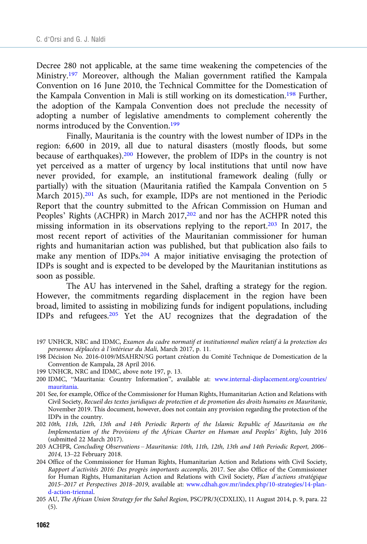Decree 280 not applicable, at the same time weakening the competencies of the Ministry.<sup>197</sup> Moreover, although the Malian government ratified the Kampala Convention on 16 June 2010, the Technical Committee for the Domestication of the Kampala Convention in Mali is still working on its domestication.<sup>198</sup> Further, the adoption of the Kampala Convention does not preclude the necessity of adopting a number of legislative amendments to complement coherently the norms introduced by the Convention.<sup>199</sup>

Finally, Mauritania is the country with the lowest number of IDPs in the region: 6,600 in 2019, all due to natural disasters (mostly floods, but some because of earthquakes).200 However, the problem of IDPs in the country is not yet perceived as a matter of urgency by local institutions that until now have never provided, for example, an institutional framework dealing (fully or partially) with the situation (Mauritania ratified the Kampala Convention on 5 March 2015).<sup>201</sup> As such, for example, IDPs are not mentioned in the Periodic Report that the country submitted to the African Commission on Human and Peoples' Rights (ACHPR) in March 2017,<sup>202</sup> and nor has the ACHPR noted this missing information in its observations replying to the report.<sup>203</sup> In 2017, the most recent report of activities of the Mauritanian commissioner for human rights and humanitarian action was published, but that publication also fails to make any mention of IDPs.<sup>204</sup> A major initiative envisaging the protection of IDPs is sought and is expected to be developed by the Mauritanian institutions as soon as possible.

The AU has intervened in the Sahel, drafting a strategy for the region. However, the commitments regarding displacement in the region have been broad, limited to assisting in mobilizing funds for indigent populations, including IDPs and refugees.205 Yet the AU recognizes that the degradation of the

- 197 UNHCR, NRC and IDMC, Examen du cadre normatif et institutionnel malien relatif à la protection des personnes déplacées à l'intérieur du Mali, March 2017, p. 11.
- 198 Décision No. 2016-0109/MSAHRN/SG portant création du Comité Technique de Domestication de la Convention de Kampala, 28 April 2016.
- 199 UNHCR, NRC and IDMC, above note 197, p. 13.
- 200 IDMC, "Mauritania: Country Information", available at: [www.internal-displacement.org/countries/](https://www.internal-displacement.org/countries/mauritania) [mauritania](https://www.internal-displacement.org/countries/mauritania).
- 201 See, for example, Office of the Commissioner for Human Rights, Humanitarian Action and Relations with Civil Society, Recueil des textes juridiques de protection et de promotion des droits humains en Mauritanie, November 2019. This document, however, does not contain any provision regarding the protection of the IDPs in the country.
- 202 10th, 11th, 12th, 13th and 14th Periodic Reports of the Islamic Republic of Mauritania on the Implementation of the Provisions of the African Charter on Human and Peoples' Rights, July 2016 (submitted 22 March 2017).
- 203 ACHPR, Concluding Observations Mauritania: 10th, 11th, 12th, 13th and 14th Periodic Report, 2006– 2014, 13–22 February 2018.
- 204 Office of the Commissioner for Human Rights, Humanitarian Action and Relations with Civil Society, Rapport d'activités 2016: Des progrès importants accomplis, 2017. See also Office of the Commissioner for Human Rights, Humanitarian Action and Relations with Civil Society, Plan d'actions stratégique 2015–2017 et Perspectives 2018–2019, available at: [www.cdhah.gov.mr/index.php/10-strategies/14-plan](https://www.cdhah.gov.mr/index.php/10-strategies/14-plan-d-action-triennal)[d-action-triennal.](https://www.cdhah.gov.mr/index.php/10-strategies/14-plan-d-action-triennal)
- 205 AU, The African Union Strategy for the Sahel Region, PSC/PR/3(CDXLIX), 11 August 2014, p. 9, para. 22 (5).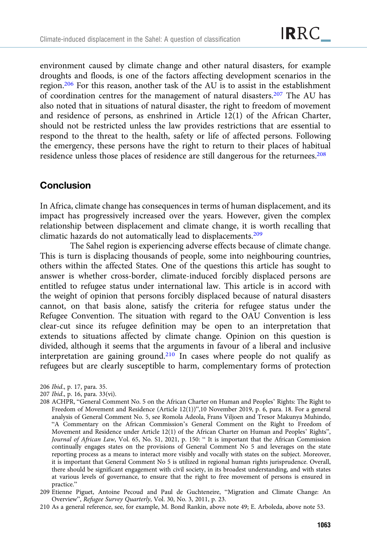environment caused by climate change and other natural disasters, for example droughts and floods, is one of the factors affecting development scenarios in the region.206 For this reason, another task of the AU is to assist in the establishment of coordination centres for the management of natural disasters.207 The AU has also noted that in situations of natural disaster, the right to freedom of movement and residence of persons, as enshrined in Article 12(1) of the African Charter, should not be restricted unless the law provides restrictions that are essential to respond to the threat to the health, safety or life of affected persons. Following the emergency, these persons have the right to return to their places of habitual residence unless those places of residence are still dangerous for the returnees.<sup>208</sup>

### **Conclusion**

In Africa, climate change has consequences in terms of human displacement, and its impact has progressively increased over the years. However, given the complex relationship between displacement and climate change, it is worth recalling that climatic hazards do not automatically lead to displacements.209

The Sahel region is experiencing adverse effects because of climate change. This is turn is displacing thousands of people, some into neighbouring countries, others within the affected States. One of the questions this article has sought to answer is whether cross-border, climate-induced forcibly displaced persons are entitled to refugee status under international law. This article is in accord with the weight of opinion that persons forcibly displaced because of natural disasters cannot, on that basis alone, satisfy the criteria for refugee status under the Refugee Convention. The situation with regard to the OAU Convention is less clear-cut since its refugee definition may be open to an interpretation that extends to situations affected by climate change. Opinion on this question is divided, although it seems that the arguments in favour of a liberal and inclusive interpretation are gaining ground.<sup>210</sup> In cases where people do not qualify as refugees but are clearly susceptible to harm, complementary forms of protection

206 Ibid., p. 17, para. 35.

207 Ibid., p. 16, para. 33(vi).

- 208 ACHPR, "General Comment No. 5 on the African Charter on Human and Peoples' Rights: The Right to Freedom of Movement and Residence (Article 12(1))",10 November 2019, p. 6, para. 18. For a general analysis of General Comment No. 5, see Romola Adeola, Frans Viljoen and Tresor Makunya Muhindo, "A Commentary on the African Commission's General Comment on the Right to Freedom of Movement and Residence under Article 12(1) of the African Charter on Human and Peoples' Rights", Journal of African Law, Vol. 65, No. S1, 2021, p. 150: " It is important that the African Commission continually engages states on the provisions of General Comment No 5 and leverages on the state reporting process as a means to interact more visibly and vocally with states on the subject. Moreover, it is important that General Comment No 5 is utilized in regional human rights jurisprudence. Overall, there should be significant engagement with civil society, in its broadest understanding, and with states at various levels of governance, to ensure that the right to free movement of persons is ensured in practice."
- 209 Etienne Piguet, Antoine Pecoud and Paul de Guchteneire, "Migration and Climate Change: An Overview", Refugee Survey Quarterly, Vol. 30, No. 3, 2011, p. 23.

210 As a general reference, see, for example, M. Bond Rankin, above note 49; E. Arboleda, above note 53.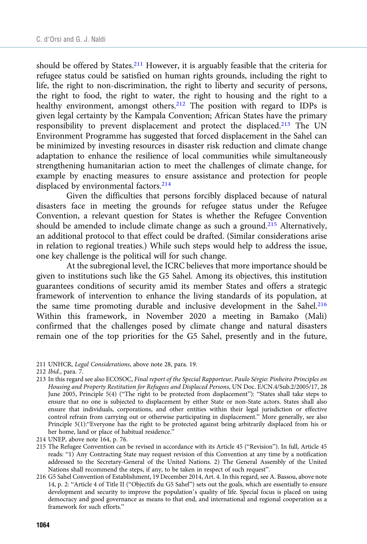should be offered by States.<sup>211</sup> However, it is arguably feasible that the criteria for refugee status could be satisfied on human rights grounds, including the right to life, the right to non-discrimination, the right to liberty and security of persons, the right to food, the right to water, the right to housing and the right to a healthy environment, amongst others.<sup>212</sup> The position with regard to IDPs is given legal certainty by the Kampala Convention; African States have the primary responsibility to prevent displacement and protect the displaced.213 The UN Environment Programme has suggested that forced displacement in the Sahel can be minimized by investing resources in disaster risk reduction and climate change adaptation to enhance the resilience of local communities while simultaneously strengthening humanitarian action to meet the challenges of climate change, for example by enacting measures to ensure assistance and protection for people displaced by environmental factors.<sup>214</sup>

Given the difficulties that persons forcibly displaced because of natural disasters face in meeting the grounds for refugee status under the Refugee Convention, a relevant question for States is whether the Refugee Convention should be amended to include climate change as such a ground.<sup>215</sup> Alternatively, an additional protocol to that effect could be drafted. (Similar considerations arise in relation to regional treaties.) While such steps would help to address the issue, one key challenge is the political will for such change.

At the subregional level, the ICRC believes that more importance should be given to institutions such like the G5 Sahel. Among its objectives, this institution guarantees conditions of security amid its member States and offers a strategic framework of intervention to enhance the living standards of its population, at the same time promoting durable and inclusive development in the Sahel.<sup>216</sup> Within this framework, in November 2020 a meeting in Bamako (Mali) confirmed that the challenges posed by climate change and natural disasters remain one of the top priorities for the G5 Sahel, presently and in the future,

213 In this regard see also ECOSOC, Final report of the Special Rapporteur, Paulo Sérgio: Pinheiro Principles on Housing and Property Restitution for Refugees and Displaced Persons, UN Doc. E/CN.4/Sub.2/2005/17, 28 June 2005, Principle 5(4) ("The right to be protected from displacement"): "States shall take steps to ensure that no one is subjected to displacement by either State or non-State actors. States shall also ensure that individuals, corporations, and other entities within their legal jurisdiction or effective control refrain from carrying out or otherwise participating in displacement." More generally, see also Principle 5(1):"Everyone has the right to be protected against being arbitrarily displaced from his or her home, land or place of habitual residence."

- 215 The Refugee Convention can be revised in accordance with its Article 45 ("Revision"). In full, Article 45 reads: "1) Any Contracting State may request revision of this Convention at any time by a notification addressed to the Secretary-General of the United Nations. 2) The General Assembly of the United Nations shall recommend the steps, if any, to be taken in respect of such request".
- 216 G5 Sahel Convention of Establishment, 19 December 2014, Art. 4. In this regard, see A. Bassou, above note 14, p. 2: "Article 4 of Title II ("Objectifs du G5 Sahel") sets out the goals, which are essentially to ensure development and security to improve the population's quality of life. Special focus is placed on using democracy and good governance as means to that end, and international and regional cooperation as a framework for such efforts."

<sup>211</sup> UNHCR, Legal Considerations, above note 28, para. 19.

<sup>212</sup> Ibid., para. 7.

<sup>214</sup> UNEP, above note 164, p. 76.